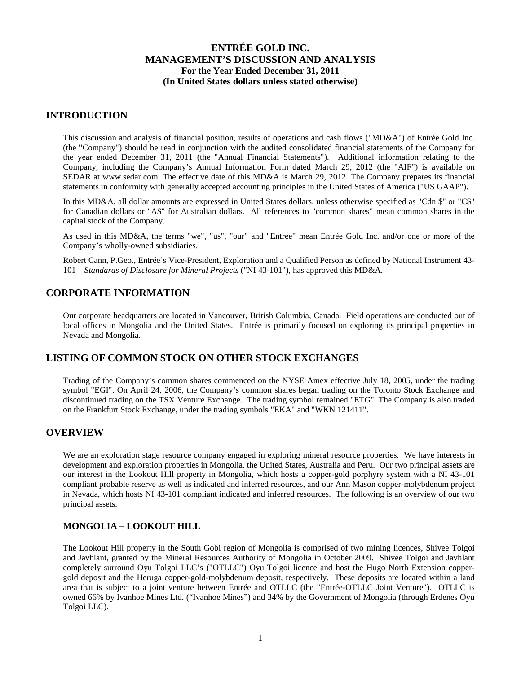## **INTRODUCTION**

This discussion and analysis of financial position, results of operations and cash flows ("MD&A") of Entrée Gold Inc. (the "Company") should be read in conjunction with the audited consolidated financial statements of the Company for the year ended December 31, 2011 (the "Annual Financial Statements"). Additional information relating to the Company, including the Company's Annual Information Form dated March 29, 2012 (the "AIF") is available on SEDAR at [www.sedar.com.](http://www.sedar.com/) The effective date of this MD&A is March 29, 2012. The Company prepares its financial statements in conformity with generally accepted accounting principles in the United States of America ("US GAAP").

In this MD&A, all dollar amounts are expressed in United States dollars, unless otherwise specified as "Cdn \$" or "C\$" for Canadian dollars or "A\$" for Australian dollars. All references to "common shares" mean common shares in the capital stock of the Company.

As used in this MD&A, the terms "we", "us", "our" and "Entrée" mean Entrée Gold Inc. and/or one or more of the Company's wholly-owned subsidiaries.

Robert Cann, P.Geo., Entrée's Vice-President, Exploration and a Qualified Person as defined by National Instrument 43- 101 – *Standards of Disclosure for Mineral Projects* ("NI 43-101"), has approved this MD&A.

## **CORPORATE INFORMATION**

Our corporate headquarters are located in Vancouver, British Columbia, Canada. Field operations are conducted out of local offices in Mongolia and the United States. Entrée is primarily focused on exploring its principal properties in Nevada and Mongolia.

## **LISTING OF COMMON STOCK ON OTHER STOCK EXCHANGES**

Trading of the Company's common shares commenced on the NYSE Amex effective July 18, 2005, under the trading symbol "EGI". On April 24, 2006, the Company's common shares began trading on the Toronto Stock Exchange and discontinued trading on the TSX Venture Exchange. The trading symbol remained "ETG". The Company is also traded on the Frankfurt Stock Exchange, under the trading symbols "EKA" and "WKN 121411".

## **OVERVIEW**

We are an exploration stage resource company engaged in exploring mineral resource properties. We have interests in development and exploration properties in Mongolia, the United States, Australia and Peru. Our two principal assets are our interest in the Lookout Hill property in Mongolia, which hosts a copper-gold porphyry system with a NI 43-101 compliant probable reserve as well as indicated and inferred resources, and our Ann Mason copper-molybdenum project in Nevada, which hosts NI 43-101 compliant indicated and inferred resources. The following is an overview of our two principal assets.

## **MONGOLIA – LOOKOUT HILL**

The Lookout Hill property in the South Gobi region of Mongolia is comprised of two mining licences, Shivee Tolgoi and Javhlant, granted by the Mineral Resources Authority of Mongolia in October 2009. Shivee Tolgoi and Javhlant completely surround Oyu Tolgoi LLC's ("OTLLC") Oyu Tolgoi licence and host the Hugo North Extension coppergold deposit and the Heruga copper-gold-molybdenum deposit, respectively. These deposits are located within a land area that is subject to a joint venture between Entrée and OTLLC (the "Entrée-OTLLC Joint Venture"). OTLLC is owned 66% by Ivanhoe Mines Ltd. ("Ivanhoe Mines") and 34% by the Government of Mongolia (through Erdenes Oyu Tolgoi LLC).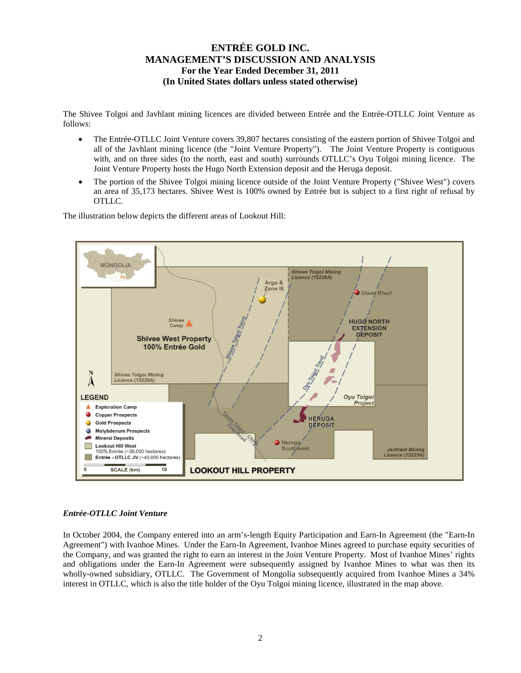The Shivee Tolgoi and Javhlant mining licences are divided between Entrée and the Entrée-OTLLC Joint Venture as follows:

- The Entrée-OTLLC Joint Venture covers 39,807 hectares consisting of the eastern portion of Shivee Tolgoi and all of the Javhlant mining licence (the "Joint Venture Property"). The Joint Venture Property is contiguous with, and on three sides (to the north, east and south) surrounds OTLLC's Oyu Tolgoi mining licence. The Joint Venture Property hosts the Hugo North Extension deposit and the Heruga deposit.
- The portion of the Shivee Tolgoi mining licence outside of the Joint Venture Property ("Shivee West") covers an area of 35,173 hectares. Shivee West is 100% owned by Entrée but is subject to a first right of refusal by OTLLC.

The illustration below depicts the different areas of Lookout Hill:



### *Entrée-OTLLC Joint Venture*

In October 2004, the Company entered into an arm's-length Equity Participation and Earn-In Agreement (the "Earn-In Agreement") with Ivanhoe Mines. Under the Earn-In Agreement, Ivanhoe Mines agreed to purchase equity securities of the Company, and was granted the right to earn an interest in the Joint Venture Property. Most of Ivanhoe Mines' rights and obligations under the Earn-In Agreement were subsequently assigned by Ivanhoe Mines to what was then its wholly-owned subsidiary, OTLLC. The Government of Mongolia subsequently acquired from Ivanhoe Mines a 34% interest in OTLLC, which is also the title holder of the Oyu Tolgoi mining licence, illustrated in the map above.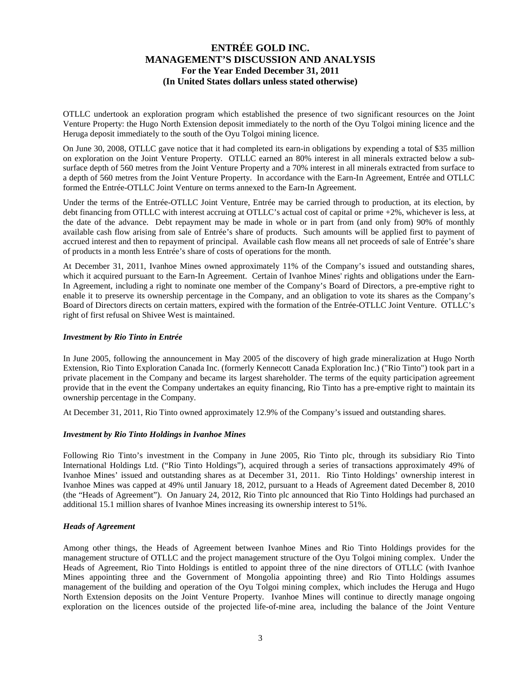OTLLC undertook an exploration program which established the presence of two significant resources on the Joint Venture Property: the Hugo North Extension deposit immediately to the north of the Oyu Tolgoi mining licence and the Heruga deposit immediately to the south of the Oyu Tolgoi mining licence.

On June 30, 2008, OTLLC gave notice that it had completed its earn-in obligations by expending a total of \$35 million on exploration on the Joint Venture Property. OTLLC earned an 80% interest in all minerals extracted below a subsurface depth of 560 metres from the Joint Venture Property and a 70% interest in all minerals extracted from surface to a depth of 560 metres from the Joint Venture Property. In accordance with the Earn-In Agreement, Entrée and OTLLC formed the Entrée-OTLLC Joint Venture on terms annexed to the Earn-In Agreement.

Under the terms of the Entrée-OTLLC Joint Venture, Entrée may be carried through to production, at its election, by debt financing from OTLLC with interest accruing at OTLLC's actual cost of capital or prime +2%, whichever is less, at the date of the advance. Debt repayment may be made in whole or in part from (and only from) 90% of monthly available cash flow arising from sale of Entrée's share of products. Such amounts will be applied first to payment of accrued interest and then to repayment of principal. Available cash flow means all net proceeds of sale of Entrée's share of products in a month less Entrée's share of costs of operations for the month.

At December 31, 2011, Ivanhoe Mines owned approximately 11% of the Company's issued and outstanding shares, which it acquired pursuant to the Earn-In Agreement. Certain of Ivanhoe Mines' rights and obligations under the Earn-In Agreement, including a right to nominate one member of the Company's Board of Directors, a pre-emptive right to enable it to preserve its ownership percentage in the Company, and an obligation to vote its shares as the Company's Board of Directors directs on certain matters, expired with the formation of the Entrée-OTLLC Joint Venture. OTLLC's right of first refusal on Shivee West is maintained.

### *Investment by Rio Tinto in Entrée*

In June 2005, following the announcement in May 2005 of the discovery of high grade mineralization at Hugo North Extension, Rio Tinto Exploration Canada Inc. (formerly Kennecott Canada Exploration Inc.) ("Rio Tinto") took part in a private placement in the Company and became its largest shareholder. The terms of the equity participation agreement provide that in the event the Company undertakes an equity financing, Rio Tinto has a pre-emptive right to maintain its ownership percentage in the Company.

At December 31, 2011, Rio Tinto owned approximately 12.9% of the Company's issued and outstanding shares.

### *Investment by Rio Tinto Holdings in Ivanhoe Mines*

Following Rio Tinto's investment in the Company in June 2005, Rio Tinto plc, through its subsidiary Rio Tinto International Holdings Ltd. ("Rio Tinto Holdings"), acquired through a series of transactions approximately 49% of Ivanhoe Mines' issued and outstanding shares as at December 31, 2011. Rio Tinto Holdings' ownership interest in Ivanhoe Mines was capped at 49% until January 18, 2012, pursuant to a Heads of Agreement dated December 8, 2010 (the "Heads of Agreement"). On January 24, 2012, Rio Tinto plc announced that Rio Tinto Holdings had purchased an additional 15.1 million shares of Ivanhoe Mines increasing its ownership interest to 51%.

### *Heads of Agreement*

Among other things, the Heads of Agreement between Ivanhoe Mines and Rio Tinto Holdings provides for the management structure of OTLLC and the project management structure of the Oyu Tolgoi mining complex. Under the Heads of Agreement, Rio Tinto Holdings is entitled to appoint three of the nine directors of OTLLC (with Ivanhoe Mines appointing three and the Government of Mongolia appointing three) and Rio Tinto Holdings assumes management of the building and operation of the Oyu Tolgoi mining complex, which includes the Heruga and Hugo North Extension deposits on the Joint Venture Property. Ivanhoe Mines will continue to directly manage ongoing exploration on the licences outside of the projected life-of-mine area, including the balance of the Joint Venture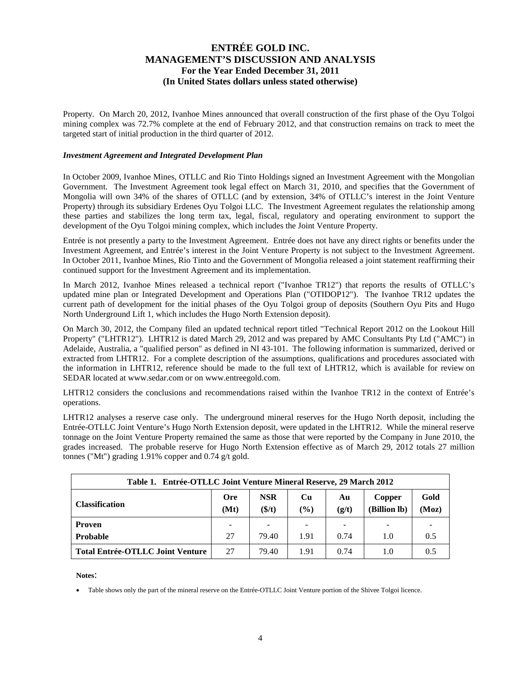Property. On March 20, 2012, Ivanhoe Mines announced that overall construction of the first phase of the Oyu Tolgoi mining complex was 72.7% complete at the end of February 2012, and that construction remains on track to meet the targeted start of initial production in the third quarter of 2012.

### *Investment Agreement and Integrated Development Plan*

In October 2009, Ivanhoe Mines, OTLLC and Rio Tinto Holdings signed an Investment Agreement with the Mongolian Government. The Investment Agreement took legal effect on March 31, 2010, and specifies that the Government of Mongolia will own 34% of the shares of OTLLC (and by extension, 34% of OTLLC's interest in the Joint Venture Property) through its subsidiary Erdenes Oyu Tolgoi LLC. The Investment Agreement regulates the relationship among these parties and stabilizes the long term tax, legal, fiscal, regulatory and operating environment to support the development of the Oyu Tolgoi mining complex, which includes the Joint Venture Property.

Entrée is not presently a party to the Investment Agreement. Entrée does not have any direct rights or benefits under the Investment Agreement, and Entrée's interest in the Joint Venture Property is not subject to the Investment Agreement. In October 2011, Ivanhoe Mines, Rio Tinto and the Government of Mongolia released a joint statement reaffirming their continued support for the Investment Agreement and its implementation.

In March 2012, Ivanhoe Mines released a technical report ("Ivanhoe TR12") that reports the results of OTLLC's updated mine plan or Integrated Development and Operations Plan ("OTIDOP12"). The Ivanhoe TR12 updates the current path of development for the initial phases of the Oyu Tolgoi group of deposits (Southern Oyu Pits and Hugo North Underground Lift 1, which includes the Hugo North Extension deposit).

On March 30, 2012, the Company filed an updated technical report titled "Technical Report 2012 on the Lookout Hill Property" ("LHTR12"). LHTR12 is dated March 29, 2012 and was prepared by AMC Consultants Pty Ltd ("AMC") in Adelaide, Australia, a "qualified person" as defined in NI 43-101. The following information is summarized, derived or extracted from LHTR12. For a complete description of the assumptions, qualifications and procedures associated with the information in LHTR12, reference should be made to the full text of LHTR12, which is available for review on SEDAR located at [www.sedar.com](http://www.sedar.com/) or on www.entreegold.com.

LHTR12 considers the conclusions and recommendations raised within the Ivanhoe TR12 in the context of Entrée's operations.

LHTR12 analyses a reserve case only. The underground mineral reserves for the Hugo North deposit, including the Entrée-OTLLC Joint Venture's Hugo North Extension deposit, were updated in the LHTR12. While the mineral reserve tonnage on the Joint Venture Property remained the same as those that were reported by the Company in June 2010, the grades increased. The probable reserve for Hugo North Extension effective as of March 29, 2012 totals 27 million tonnes ("Mt") grading 1.91% copper and 0.74 g/t gold.

| Table 1. Entrée-OTLLC Joint Venture Mineral Reserve, 29 March 2012 |                    |                      |                          |             |                          |               |  |  |  |  |
|--------------------------------------------------------------------|--------------------|----------------------|--------------------------|-------------|--------------------------|---------------|--|--|--|--|
| <b>Classification</b>                                              | <b>Ore</b><br>(Mt) | <b>NSR</b><br>(\$/t) | Cu<br>$($ %)             | Au<br>(g/t) | Copper<br>(Billion lb)   | Gold<br>(Moz) |  |  |  |  |
| <b>Proven</b>                                                      | -                  |                      | $\overline{\phantom{a}}$ |             | $\overline{\phantom{a}}$ |               |  |  |  |  |
| <b>Probable</b>                                                    | 27                 | 79.40                | 1.91                     | 0.74        | 1.0                      | 0.5           |  |  |  |  |
| <b>Total Entrée-OTLLC Joint Venture</b>                            | 27                 | 79.40                | 1.91                     | 0.74        | 1.0                      | 0.5           |  |  |  |  |

**Notes**:

• Table shows only the part of the mineral reserve on the Entrée-OTLLC Joint Venture portion of the Shivee Tolgoi licence.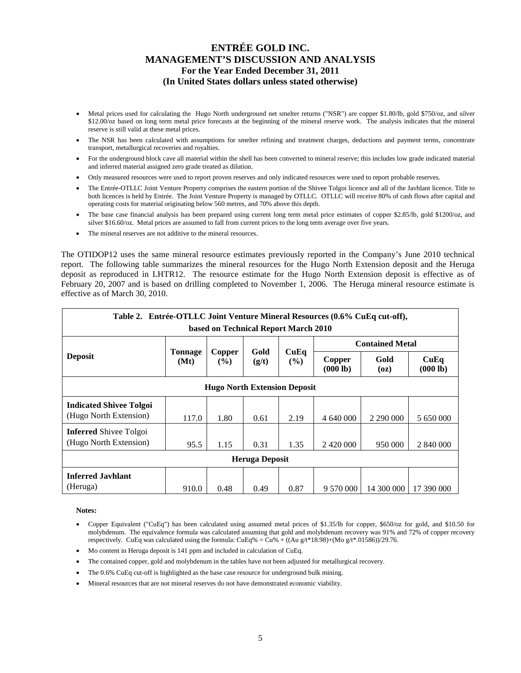- Metal prices used for calculating the Hugo North underground net smelter returns ("NSR") are copper \$1.80/lb, gold \$750/oz, and silver \$12.00/oz based on long term metal price forecasts at the beginning of the mineral reserve work. The analysis indicates that the mineral reserve is still valid at these metal prices.
- The NSR has been calculated with assumptions for smelter refining and treatment charges, deductions and payment terms, concentrate transport, metallurgical recoveries and royalties.
- For the underground block cave all material within the shell has been converted to mineral reserve; this includes low grade indicated material and inferred material assigned zero grade treated as dilution.
- Only measured resources were used to report proven reserves and only indicated resources were used to report probable reserves.
- The Entrée-OTLLC Joint Venture Property comprises the eastern portion of the Shivee Tolgoi licence and all of the Javhlant licence. Title to both licences is held by Entrée. The Joint Venture Property is managed by OTLLC. OTLLC will receive 80% of cash flows after capital and operating costs for material originating below 560 metres, and 70% above this depth.
- The base case financial analysis has been prepared using current long term metal price estimates of copper \$2.85/lb, gold \$1200/oz, and silver \$16.60/oz. Metal prices are assumed to fall from current prices to the long term average over five years.
- The mineral reserves are not additive to the mineral resources.

The OTIDOP12 uses the same mineral resource estimates previously reported in the Company's June 2010 technical report. The following table summarizes the mineral resources for the Hugo North Extension deposit and the Heruga deposit as reproduced in LHTR12. The resource estimate for the Hugo North Extension deposit is effective as of February 20, 2007 and is based on drilling completed to November 1, 2006. The Heruga mineral resource estimate is effective as of March 30, 2010.

| Table 2. Entrée-OTLLC Joint Venture Mineral Resources (0.6% CuEq cut-off), |                        |                  |                       |                       |                    |                        |                  |  |  |  |
|----------------------------------------------------------------------------|------------------------|------------------|-----------------------|-----------------------|--------------------|------------------------|------------------|--|--|--|
| based on Technical Report March 2010                                       |                        |                  |                       |                       |                    |                        |                  |  |  |  |
|                                                                            |                        |                  | Gold                  |                       |                    | <b>Contained Metal</b> |                  |  |  |  |
| <b>Deposit</b>                                                             | <b>Tonnage</b><br>(Mt) | Copper<br>$($ %) | (g/t)                 | CuEq<br>$\frac{9}{6}$ | Copper<br>(000 lb) | Gold<br>(oz)           | CuEq<br>(000 lb) |  |  |  |
| <b>Hugo North Extension Deposit</b>                                        |                        |                  |                       |                       |                    |                        |                  |  |  |  |
| <b>Indicated Shivee Tolgoi</b>                                             |                        |                  |                       |                       |                    |                        |                  |  |  |  |
| (Hugo North Extension)                                                     | 117.0                  | 1.80             | 0.61                  | 2.19                  | 4 640 000          | 2 290 000              | 5 650 000        |  |  |  |
| <b>Inferred</b> Shivee Tolgoi                                              |                        |                  |                       |                       |                    |                        |                  |  |  |  |
| (Hugo North Extension)                                                     | 95.5                   | 1.15             | 0.31                  | 1.35                  |                    | 950 000                | 2 840 000        |  |  |  |
|                                                                            |                        |                  | <b>Heruga Deposit</b> |                       |                    |                        |                  |  |  |  |
| <b>Inferred Jayhlant</b>                                                   |                        |                  |                       |                       |                    |                        |                  |  |  |  |
| (Heruga)                                                                   | 910.0                  | 0.48             | 0.49                  | 0.87                  | 9 570 000          | 14 300 000             | 17 390 000       |  |  |  |

#### **Notes:**

- Copper Equivalent ("CuEq") has been calculated using assumed metal prices of \$1.35/lb for copper, \$650/oz for gold, and \$10.50 for molybdenum. The equivalence formula was calculated assuming that gold and molybdenum recovery was 91% and 72% of copper recovery respectively. CuEq was calculated using the formula: CuEq% = Cu% + ((Au g/t\*18.98)+(Mo g/t\*.01586))/29.76.
- Mo content in Heruga deposit is 141 ppm and included in calculation of CuEq.
- The contained copper, gold and molybdenum in the tables have not been adjusted for metallurgical recovery.
- The 0.6% CuEq cut-off is highlighted as the base case resource for underground bulk mining.
- Mineral resources that are not mineral reserves do not have demonstrated economic viability.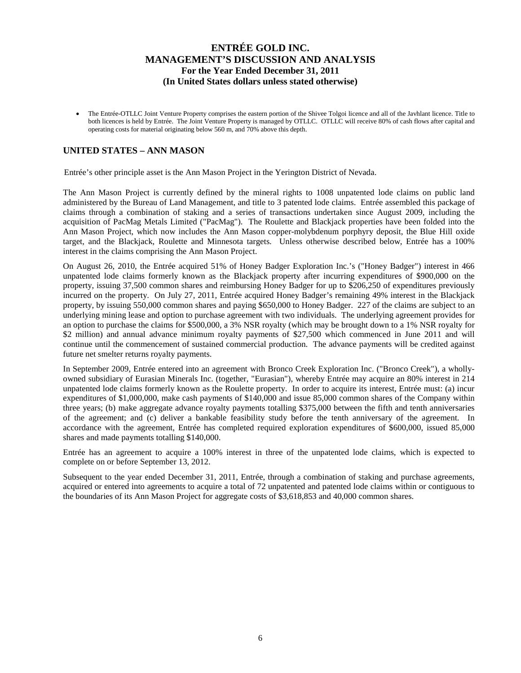• The Entrée-OTLLC Joint Venture Property comprises the eastern portion of the Shivee Tolgoi licence and all of the Javhlant licence. Title to both licences is held by Entrée. The Joint Venture Property is managed by OTLLC. OTLLC will receive 80% of cash flows after capital and operating costs for material originating below 560 m, and 70% above this depth.

## **UNITED STATES – ANN MASON**

Entrée's other principle asset is the Ann Mason Project in the Yerington District of Nevada.

The Ann Mason Project is currently defined by the mineral rights to 1008 unpatented lode claims on public land administered by the Bureau of Land Management, and title to 3 patented lode claims. Entrée assembled this package of claims through a combination of staking and a series of transactions undertaken since August 2009, including the acquisition of PacMag Metals Limited ("PacMag"). The Roulette and Blackjack properties have been folded into the Ann Mason Project, which now includes the Ann Mason copper-molybdenum porphyry deposit, the Blue Hill oxide target, and the Blackjack, Roulette and Minnesota targets. Unless otherwise described below, Entrée has a 100% interest in the claims comprising the Ann Mason Project.

On August 26, 2010, the Entrée acquired 51% of Honey Badger Exploration Inc.'s ("Honey Badger") interest in 466 unpatented lode claims formerly known as the Blackjack property after incurring expenditures of \$900,000 on the property, issuing 37,500 common shares and reimbursing Honey Badger for up to \$206,250 of expenditures previously incurred on the property. On July 27, 2011, Entrée acquired Honey Badger's remaining 49% interest in the Blackjack property, by issuing 550,000 common shares and paying \$650,000 to Honey Badger. 227 of the claims are subject to an underlying mining lease and option to purchase agreement with two individuals. The underlying agreement provides for an option to purchase the claims for \$500,000, a 3% NSR royalty (which may be brought down to a 1% NSR royalty for \$2 million) and annual advance minimum royalty payments of \$27,500 which commenced in June 2011 and will continue until the commencement of sustained commercial production. The advance payments will be credited against future net smelter returns royalty payments.

In September 2009, Entrée entered into an agreement with Bronco Creek Exploration Inc. ("Bronco Creek"), a whollyowned subsidiary of Eurasian Minerals Inc. (together, "Eurasian"), whereby Entrée may acquire an 80% interest in 214 unpatented lode claims formerly known as the Roulette property. In order to acquire its interest, Entrée must: (a) incur expenditures of \$1,000,000, make cash payments of \$140,000 and issue 85,000 common shares of the Company within three years; (b) make aggregate advance royalty payments totalling \$375,000 between the fifth and tenth anniversaries of the agreement; and (c) deliver a bankable feasibility study before the tenth anniversary of the agreement. In accordance with the agreement, Entrée has completed required exploration expenditures of \$600,000, issued 85,000 shares and made payments totalling \$140,000.

Entrée has an agreement to acquire a 100% interest in three of the unpatented lode claims, which is expected to complete on or before September 13, 2012.

Subsequent to the year ended December 31, 2011, Entrée, through a combination of staking and purchase agreements, acquired or entered into agreements to acquire a total of 72 unpatented and patented lode claims within or contiguous to the boundaries of its Ann Mason Project for aggregate costs of \$3,618,853 and 40,000 common shares.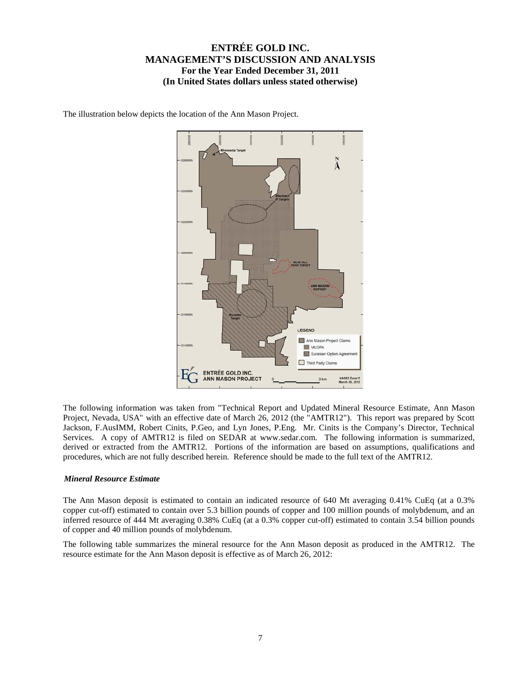The illustration below depicts the location of the Ann Mason Project.



The following information was taken from "Technical Report and Updated Mineral Resource Estimate, Ann Mason Project, Nevada, USA" with an effective date of March 26, 2012 (the "AMTR12"). This report was prepared by Scott Jackson, F.AusIMM, Robert Cinits, P.Geo, and Lyn Jones, P.Eng. Mr. Cinits is the Company's Director, Technical Services. A copy of AMTR12 is filed on SEDAR at www.sedar.com. The following information is summarized, derived or extracted from the AMTR12. Portions of the information are based on assumptions, qualifications and procedures, which are not fully described herein. Reference should be made to the full text of the AMTR12.

### *Mineral Resource Estimate*

The Ann Mason deposit is estimated to contain an indicated resource of 640 Mt averaging 0.41% CuEq (at a 0.3% copper cut-off) estimated to contain over 5.3 billion pounds of copper and 100 million pounds of molybdenum, and an inferred resource of 444 Mt averaging 0.38% CuEq (at a 0.3% copper cut-off) estimated to contain 3.54 billion pounds of copper and 40 million pounds of molybdenum.

The following table summarizes the mineral resource for the Ann Mason deposit as produced in the AMTR12. The resource estimate for the Ann Mason deposit is effective as of March 26, 2012: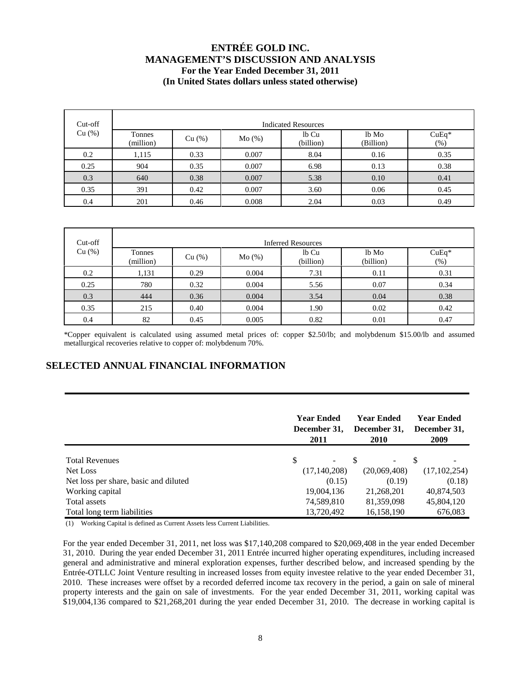| Cut-off | <b>Indicated Resources</b> |        |       |                    |                    |                 |  |  |  |  |  |  |
|---------|----------------------------|--------|-------|--------------------|--------------------|-----------------|--|--|--|--|--|--|
| Cu (%)  | Tonnes<br>(million)        | Cu (%) | Mo(%) | lb Cu<br>(billion) | lb Mo<br>(Billion) | $CuEq*$<br>(% ) |  |  |  |  |  |  |
| 0.2     | 1,115                      | 0.33   | 0.007 | 8.04               | 0.16               | 0.35            |  |  |  |  |  |  |
| 0.25    | 904                        | 0.35   | 0.007 | 6.98               | 0.13               | 0.38            |  |  |  |  |  |  |
| 0.3     | 640                        | 0.38   | 0.007 | 5.38               | 0.10               | 0.41            |  |  |  |  |  |  |
| 0.35    | 391                        | 0.42   | 0.007 | 3.60               | 0.06               | 0.45            |  |  |  |  |  |  |
| 0.4     | 201                        | 0.46   | 0.008 | 2.04               | 0.03               | 0.49            |  |  |  |  |  |  |

| Cut-off | <b>Inferred Resources</b> |        |       |                    |                    |                   |  |  |  |  |  |  |
|---------|---------------------------|--------|-------|--------------------|--------------------|-------------------|--|--|--|--|--|--|
| Cu (%)  | Tonnes<br>(million)       | Cu (%) | Mo(%) | lb Cu<br>(billion) | lb Mo<br>(billion) | $CuEq*$<br>$(\%)$ |  |  |  |  |  |  |
| 0.2     | 1,131                     | 0.29   | 0.004 | 7.31               | 0.11               | 0.31              |  |  |  |  |  |  |
| 0.25    | 780                       | 0.32   | 0.004 | 5.56               | 0.07               | 0.34              |  |  |  |  |  |  |
| 0.3     | 444                       | 0.36   | 0.004 | 3.54               | 0.04               | 0.38              |  |  |  |  |  |  |
| 0.35    | 215                       | 0.40   | 0.004 | 1.90               | 0.02               | 0.42              |  |  |  |  |  |  |
| 0.4     | 82                        | 0.45   | 0.005 | 0.82               | 0.01               | 0.47              |  |  |  |  |  |  |

\*Copper equivalent is calculated using assumed metal prices of: copper \$2.50/lb; and molybdenum \$15.00/lb and assumed metallurgical recoveries relative to copper of: molybdenum 70%.

# **SELECTED ANNUAL FINANCIAL INFORMATION**

|                                       | <b>Year Ended</b><br>December 31,<br>2011 | <b>Year Ended</b><br>December 31,<br>2010 |                |  |  |
|---------------------------------------|-------------------------------------------|-------------------------------------------|----------------|--|--|
| <b>Total Revenues</b>                 | \$<br>$\overline{\phantom{a}}$            | S<br>$\overline{\phantom{a}}$             |                |  |  |
| Net Loss                              | (17, 140, 208)                            | (20,069,408)                              | (17, 102, 254) |  |  |
| Net loss per share, basic and diluted | (0.15)                                    | (0.19)                                    | (0.18)         |  |  |
| Working capital                       | 19,004,136                                | 21,268,201                                | 40,874,503     |  |  |
| Total assets                          | 74,589,810                                | 81,359,098                                | 45,804,120     |  |  |
| Total long term liabilities           | 13,720,492                                | 16,158,190                                | 676,083        |  |  |

(1) Working Capital is defined as Current Assets less Current Liabilities.

For the year ended December 31, 2011, net loss was \$17,140,208 compared to \$20,069,408 in the year ended December 31, 2010. During the year ended December 31, 2011 Entrée incurred higher operating expenditures, including increased general and administrative and mineral exploration expenses, further described below, and increased spending by the Entrée-OTLLC Joint Venture resulting in increased losses from equity investee relative to the year ended December 31, 2010. These increases were offset by a recorded deferred income tax recovery in the period, a gain on sale of mineral property interests and the gain on sale of investments. For the year ended December 31, 2011, working capital was \$19,004,136 compared to \$21,268,201 during the year ended December 31, 2010. The decrease in working capital is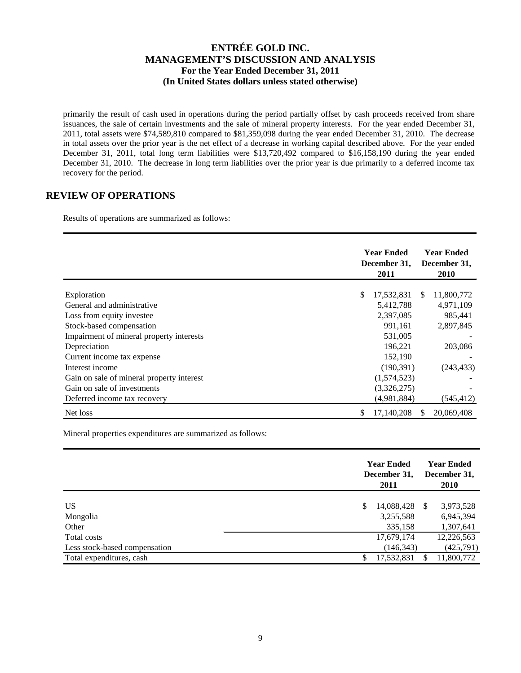primarily the result of cash used in operations during the period partially offset by cash proceeds received from share issuances, the sale of certain investments and the sale of mineral property interests. For the year ended December 31, 2011, total assets were \$74,589,810 compared to \$81,359,098 during the year ended December 31, 2010. The decrease in total assets over the prior year is the net effect of a decrease in working capital described above. For the year ended December 31, 2011, total long term liabilities were \$13,720,492 compared to \$16,158,190 during the year ended December 31, 2010. The decrease in long term liabilities over the prior year is due primarily to a deferred income tax recovery for the period.

## **REVIEW OF OPERATIONS**

Results of operations are summarized as follows:

|                                           | <b>Year Ended</b><br>December 31,<br>2011 |    | <b>Year Ended</b><br>December 31,<br>2010 |
|-------------------------------------------|-------------------------------------------|----|-------------------------------------------|
| Exploration                               | \$<br>17,532,831                          | S  | 11,800,772                                |
| General and administrative                | 5,412,788                                 |    | 4,971,109                                 |
| Loss from equity investee                 | 2,397,085                                 |    | 985,441                                   |
| Stock-based compensation                  | 991,161                                   |    | 2,897,845                                 |
| Impairment of mineral property interests  | 531,005                                   |    |                                           |
| Depreciation                              | 196,221                                   |    | 203,086                                   |
| Current income tax expense                | 152,190                                   |    |                                           |
| Interest income                           | (190, 391)                                |    | (243, 433)                                |
| Gain on sale of mineral property interest | (1,574,523)                               |    |                                           |
| Gain on sale of investments               | (3,326,275)                               |    |                                           |
| Deferred income tax recovery              | (4,981,884)                               |    | (545, 412)                                |
| Net loss                                  | 17,140,208<br>\$                          | S. | 20,069,408                                |

Mineral properties expenditures are summarized as follows:

|                               | <b>Year Ended</b><br>December 31,<br>2011 | <b>Year Ended</b><br>December 31,<br><b>2010</b> |
|-------------------------------|-------------------------------------------|--------------------------------------------------|
| <b>US</b>                     | 14,088,428<br>\$.                         | 3,973,528<br>-8                                  |
| Mongolia                      | 3,255,588                                 | 6,945,394                                        |
| Other                         | 335,158                                   | 1,307,641                                        |
| Total costs                   | 17,679,174                                | 12,226,563                                       |
| Less stock-based compensation | (146, 343)                                | (425,791)                                        |
| Total expenditures, cash      | 17,532,831                                | 11,800,772                                       |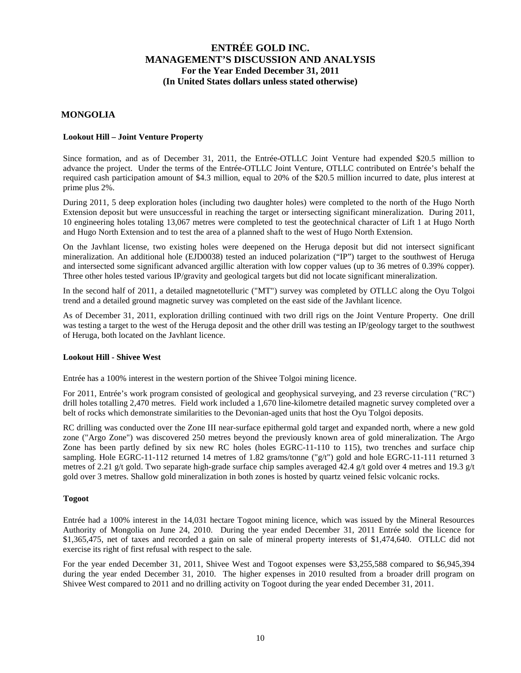### **MONGOLIA**

### **Lookout Hill – Joint Venture Property**

Since formation, and as of December 31, 2011, the Entrée-OTLLC Joint Venture had expended \$20.5 million to advance the project. Under the terms of the Entrée-OTLLC Joint Venture, OTLLC contributed on Entrée's behalf the required cash participation amount of \$4.3 million, equal to 20% of the \$20.5 million incurred to date, plus interest at prime plus 2%.

During 2011, 5 deep exploration holes (including two daughter holes) were completed to the north of the Hugo North Extension deposit but were unsuccessful in reaching the target or intersecting significant mineralization. During 2011, 10 engineering holes totaling 13,067 metres were completed to test the geotechnical character of Lift 1 at Hugo North and Hugo North Extension and to test the area of a planned shaft to the west of Hugo North Extension.

On the Javhlant license, two existing holes were deepened on the Heruga deposit but did not intersect significant mineralization. An additional hole (EJD0038) tested an induced polarization ("IP") target to the southwest of Heruga and intersected some significant advanced argillic alteration with low copper values (up to 36 metres of 0.39% copper). Three other holes tested various IP/gravity and geological targets but did not locate significant mineralization.

In the second half of 2011, a detailed magnetotelluric ("MT") survey was completed by OTLLC along the Oyu Tolgoi trend and a detailed ground magnetic survey was completed on the east side of the Javhlant licence.

As of December 31, 2011, exploration drilling continued with two drill rigs on the Joint Venture Property. One drill was testing a target to the west of the Heruga deposit and the other drill was testing an IP/geology target to the southwest of Heruga, both located on the Javhlant licence.

### **Lookout Hill - Shivee West**

Entrée has a 100% interest in the western portion of the Shivee Tolgoi mining licence.

For 2011, Entrée's work program consisted of geological and geophysical surveying, and 23 reverse circulation ("RC") drill holes totalling 2,470 metres. Field work included a 1,670 line-kilometre detailed magnetic survey completed over a belt of rocks which demonstrate similarities to the Devonian-aged units that host the Oyu Tolgoi deposits.

RC drilling was conducted over the Zone III near-surface epithermal gold target and expanded north, where a new gold zone ("Argo Zone") was discovered 250 metres beyond the previously known area of gold mineralization. The Argo Zone has been partly defined by six new RC holes (holes EGRC-11-110 to 115), two trenches and surface chip sampling. Hole EGRC-11-112 returned 14 metres of 1.82 grams/tonne ("g/t") gold and hole EGRC-11-111 returned 3 metres of 2.21 g/t gold. Two separate high-grade surface chip samples averaged 42.4 g/t gold over 4 metres and 19.3 g/t gold over 3 metres. Shallow gold mineralization in both zones is hosted by quartz veined felsic volcanic rocks.

### **Togoot**

Entrée had a 100% interest in the 14,031 hectare Togoot mining licence, which was issued by the Mineral Resources Authority of Mongolia on June 24, 2010. During the year ended December 31, 2011 Entrée sold the licence for \$1,365,475, net of taxes and recorded a gain on sale of mineral property interests of \$1,474,640. OTLLC did not exercise its right of first refusal with respect to the sale.

For the year ended December 31, 2011, Shivee West and Togoot expenses were \$3,255,588 compared to \$6,945,394 during the year ended December 31, 2010. The higher expenses in 2010 resulted from a broader drill program on Shivee West compared to 2011 and no drilling activity on Togoot during the year ended December 31, 2011.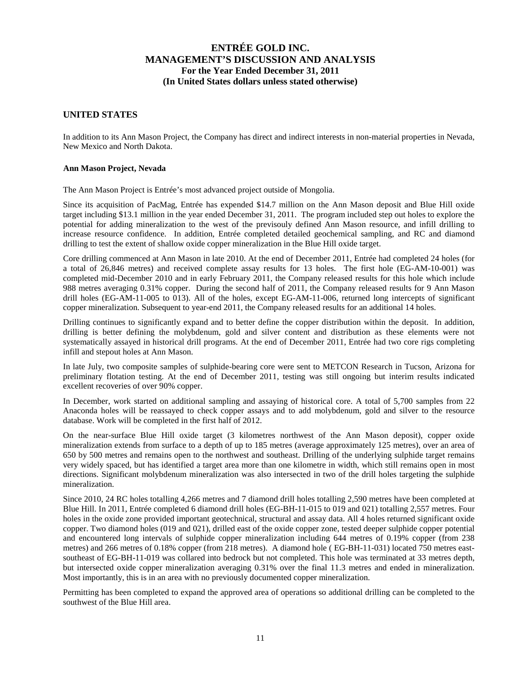### **UNITED STATES**

In addition to its Ann Mason Project, the Company has direct and indirect interests in non-material properties in Nevada, New Mexico and North Dakota.

### **Ann Mason Project, Nevada**

The Ann Mason Project is Entrée's most advanced project outside of Mongolia.

Since its acquisition of PacMag, Entrée has expended \$14.7 million on the Ann Mason deposit and Blue Hill oxide target including \$13.1 million in the year ended December 31, 2011. The program included step out holes to explore the potential for adding mineralization to the west of the previsouly defined Ann Mason resource, and infill drilling to increase resource confidence. In addition, Entrée completed detailed geochemical sampling, and RC and diamond drilling to test the extent of shallow oxide copper mineralization in the Blue Hill oxide target.

Core drilling commenced at Ann Mason in late 2010. At the end of December 2011, Entrée had completed 24 holes (for a total of 26,846 metres) and received complete assay results for 13 holes. The first hole (EG-AM-10-001) was completed mid-December 2010 and in early February 2011, the Company released results for this hole which include 988 metres averaging 0.31% copper. During the second half of 2011, the Company released results for 9 Ann Mason drill holes (EG-AM-11-005 to 013). All of the holes, except EG-AM-11-006, returned long intercepts of significant copper mineralization. Subsequent to year-end 2011, the Company released results for an additional 14 holes.

Drilling continues to significantly expand and to better define the copper distribution within the deposit. In addition, drilling is better defining the molybdenum, gold and silver content and distribution as these elements were not systematically assayed in historical drill programs. At the end of December 2011, Entrée had two core rigs completing infill and stepout holes at Ann Mason.

In late July, two composite samples of sulphide-bearing core were sent to METCON Research in Tucson, Arizona for preliminary flotation testing. At the end of December 2011, testing was still ongoing but interim results indicated excellent recoveries of over 90% copper.

In December, work started on additional sampling and assaying of historical core. A total of 5,700 samples from 22 Anaconda holes will be reassayed to check copper assays and to add molybdenum, gold and silver to the resource database. Work will be completed in the first half of 2012.

On the near-surface Blue Hill oxide target (3 kilometres northwest of the Ann Mason deposit), copper oxide mineralization extends from surface to a depth of up to 185 metres (average approximately 125 metres), over an area of 650 by 500 metres and remains open to the northwest and southeast. Drilling of the underlying sulphide target remains very widely spaced, but has identified a target area more than one kilometre in width, which still remains open in most directions. Significant molybdenum mineralization was also intersected in two of the drill holes targeting the sulphide mineralization.

Since 2010, 24 RC holes totalling 4,266 metres and 7 diamond drill holes totalling 2,590 metres have been completed at Blue Hill. In 2011, Entrée completed 6 diamond drill holes (EG-BH-11-015 to 019 and 021) totalling 2,557 metres. Four holes in the oxide zone provided important geotechnical, structural and assay data. All 4 holes returned significant oxide copper. Two diamond holes (019 and 021), drilled east of the oxide copper zone, tested deeper sulphide copper potential and encountered long intervals of sulphide copper mineralization including 644 metres of 0.19% copper (from 238 metres) and 266 metres of 0.18% copper (from 218 metres). A diamond hole ( EG-BH-11-031) located 750 metres eastsoutheast of EG-BH-11-019 was collared into bedrock but not completed. This hole was terminated at 33 metres depth, but intersected oxide copper mineralization averaging 0.31% over the final 11.3 metres and ended in mineralization. Most importantly, this is in an area with no previously documented copper mineralization.

Permitting has been completed to expand the approved area of operations so additional drilling can be completed to the southwest of the Blue Hill area.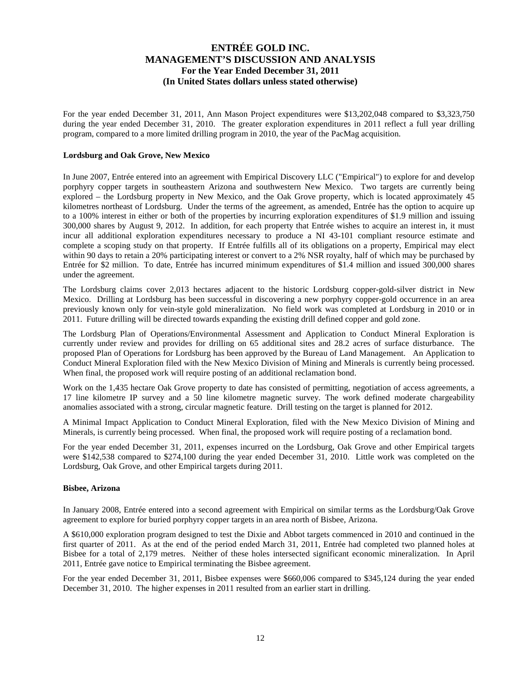For the year ended December 31, 2011, Ann Mason Project expenditures were \$13,202,048 compared to \$3,323,750 during the year ended December 31, 2010. The greater exploration expenditures in 2011 reflect a full year drilling program, compared to a more limited drilling program in 2010, the year of the PacMag acquisition.

### **Lordsburg and Oak Grove, New Mexico**

In June 2007, Entrée entered into an agreement with Empirical Discovery LLC ("Empirical") to explore for and develop porphyry copper targets in southeastern Arizona and southwestern New Mexico. Two targets are currently being explored – the Lordsburg property in New Mexico, and the Oak Grove property, which is located approximately 45 kilometres northeast of Lordsburg. Under the terms of the agreement, as amended, Entrée has the option to acquire up to a 100% interest in either or both of the properties by incurring exploration expenditures of \$1.9 million and issuing 300,000 shares by August 9, 2012. In addition, for each property that Entrée wishes to acquire an interest in, it must incur all additional exploration expenditures necessary to produce a NI 43-101 compliant resource estimate and complete a scoping study on that property. If Entrée fulfills all of its obligations on a property, Empirical may elect within 90 days to retain a 20% participating interest or convert to a 2% NSR royalty, half of which may be purchased by Entrée for \$2 million. To date, Entrée has incurred minimum expenditures of \$1.4 million and issued 300,000 shares under the agreement.

The Lordsburg claims cover 2,013 hectares adjacent to the historic Lordsburg copper-gold-silver district in New Mexico. Drilling at Lordsburg has been successful in discovering a new porphyry copper-gold occurrence in an area previously known only for vein-style gold mineralization. No field work was completed at Lordsburg in 2010 or in 2011. Future drilling will be directed towards expanding the existing drill defined copper and gold zone.

The Lordsburg Plan of Operations/Environmental Assessment and Application to Conduct Mineral Exploration is currently under review and provides for drilling on 65 additional sites and 28.2 acres of surface disturbance. The proposed Plan of Operations for Lordsburg has been approved by the Bureau of Land Management. An Application to Conduct Mineral Exploration filed with the New Mexico Division of Mining and Minerals is currently being processed. When final, the proposed work will require posting of an additional reclamation bond.

Work on the 1,435 hectare Oak Grove property to date has consisted of permitting, negotiation of access agreements, a 17 line kilometre IP survey and a 50 line kilometre magnetic survey. The work defined moderate chargeability anomalies associated with a strong, circular magnetic feature. Drill testing on the target is planned for 2012.

A Minimal Impact Application to Conduct Mineral Exploration, filed with the New Mexico Division of Mining and Minerals, is currently being processed. When final, the proposed work will require posting of a reclamation bond.

For the year ended December 31, 2011, expenses incurred on the Lordsburg, Oak Grove and other Empirical targets were \$142,538 compared to \$274,100 during the year ended December 31, 2010. Little work was completed on the Lordsburg, Oak Grove, and other Empirical targets during 2011.

### **Bisbee, Arizona**

In January 2008, Entrée entered into a second agreement with Empirical on similar terms as the Lordsburg/Oak Grove agreement to explore for buried porphyry copper targets in an area north of Bisbee, Arizona.

A \$610,000 exploration program designed to test the Dixie and Abbot targets commenced in 2010 and continued in the first quarter of 2011. As at the end of the period ended March 31, 2011, Entrée had completed two planned holes at Bisbee for a total of 2,179 metres. Neither of these holes intersected significant economic mineralization. In April 2011, Entrée gave notice to Empirical terminating the Bisbee agreement.

For the year ended December 31, 2011, Bisbee expenses were \$660,006 compared to \$345,124 during the year ended December 31, 2010. The higher expenses in 2011 resulted from an earlier start in drilling.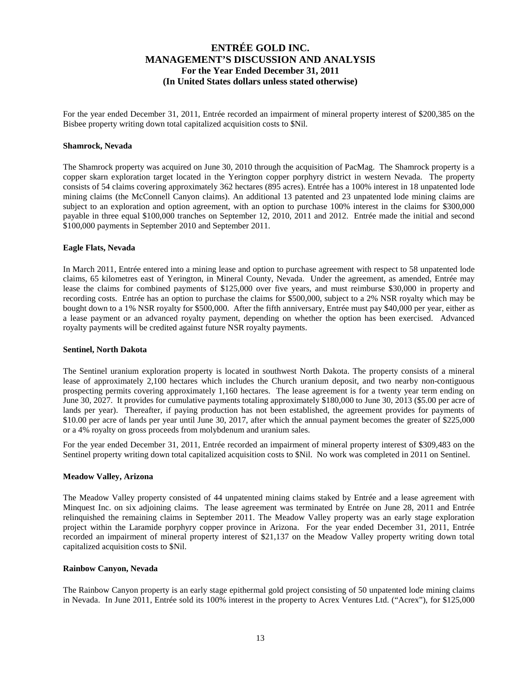For the year ended December 31, 2011, Entrée recorded an impairment of mineral property interest of \$200,385 on the Bisbee property writing down total capitalized acquisition costs to \$Nil.

#### **Shamrock, Nevada**

The Shamrock property was acquired on June 30, 2010 through the acquisition of PacMag. The Shamrock property is a copper skarn exploration target located in the Yerington copper porphyry district in western Nevada. The property consists of 54 claims covering approximately 362 hectares (895 acres). Entrée has a 100% interest in 18 unpatented lode mining claims (the McConnell Canyon claims). An additional 13 patented and 23 unpatented lode mining claims are subject to an exploration and option agreement, with an option to purchase 100% interest in the claims for \$300,000 payable in three equal \$100,000 tranches on September 12, 2010, 2011 and 2012. Entrée made the initial and second \$100,000 payments in September 2010 and September 2011.

### **Eagle Flats, Nevada**

In March 2011, Entrée entered into a mining lease and option to purchase agreement with respect to 58 unpatented lode claims, 65 kilometres east of Yerington, in Mineral County, Nevada. Under the agreement, as amended, Entrée may lease the claims for combined payments of \$125,000 over five years, and must reimburse \$30,000 in property and recording costs. Entrée has an option to purchase the claims for \$500,000, subject to a 2% NSR royalty which may be bought down to a 1% NSR royalty for \$500,000. After the fifth anniversary, Entrée must pay \$40,000 per year, either as a lease payment or an advanced royalty payment, depending on whether the option has been exercised. Advanced royalty payments will be credited against future NSR royalty payments.

#### **Sentinel, North Dakota**

The Sentinel uranium exploration property is located in southwest North Dakota. The property consists of a mineral lease of approximately 2,100 hectares which includes the Church uranium deposit, and two nearby non-contiguous prospecting permits covering approximately 1,160 hectares. The lease agreement is for a twenty year term ending on June 30, 2027. It provides for cumulative payments totaling approximately \$180,000 to June 30, 2013 (\$5.00 per acre of lands per year). Thereafter, if paying production has not been established, the agreement provides for payments of \$10.00 per acre of lands per year until June 30, 2017, after which the annual payment becomes the greater of \$225,000 or a 4% royalty on gross proceeds from molybdenum and uranium sales.

For the year ended December 31, 2011, Entrée recorded an impairment of mineral property interest of \$309,483 on the Sentinel property writing down total capitalized acquisition costs to \$Nil. No work was completed in 2011 on Sentinel.

### **Meadow Valley, Arizona**

The Meadow Valley property consisted of 44 unpatented mining claims staked by Entrée and a lease agreement with Minquest Inc. on six adjoining claims. The lease agreement was terminated by Entrée on June 28, 2011 and Entrée relinquished the remaining claims in September 2011. The Meadow Valley property was an early stage exploration project within the Laramide porphyry copper province in Arizona. For the year ended December 31, 2011, Entrée recorded an impairment of mineral property interest of \$21,137 on the Meadow Valley property writing down total capitalized acquisition costs to \$Nil.

### **Rainbow Canyon, Nevada**

The Rainbow Canyon property is an early stage epithermal gold project consisting of 50 unpatented lode mining claims in Nevada. In June 2011, Entrée sold its 100% interest in the property to Acrex Ventures Ltd. ("Acrex"), for \$125,000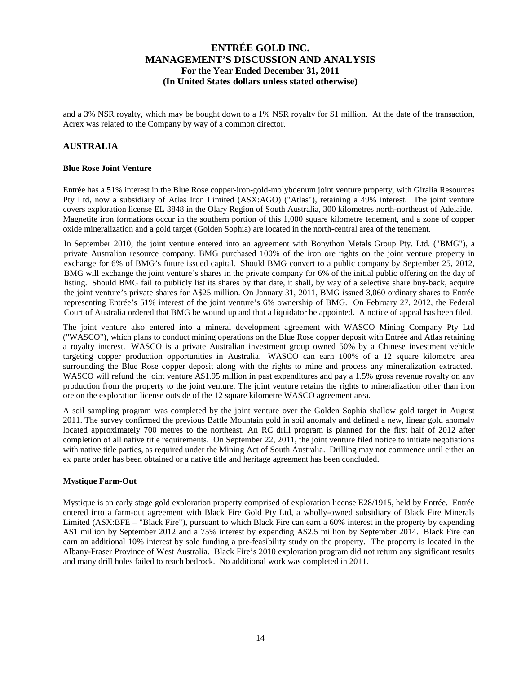and a 3% NSR royalty, which may be bought down to a 1% NSR royalty for \$1 million. At the date of the transaction, Acrex was related to the Company by way of a common director.

### **AUSTRALIA**

### **Blue Rose Joint Venture**

Entrée has a 51% interest in the Blue Rose copper-iron-gold-molybdenum joint venture property, with Giralia Resources Pty Ltd, now a subsidiary of Atlas Iron Limited (ASX:AGO) ("Atlas"), retaining a 49% interest. The joint venture covers exploration license EL 3848 in the Olary Region of South Australia, 300 kilometres north-northeast of Adelaide. Magnetite iron formations occur in the southern portion of this 1,000 square kilometre tenement, and a zone of copper oxide mineralization and a gold target (Golden Sophia) are located in the north-central area of the tenement.

In September 2010, the joint venture entered into an agreement with Bonython Metals Group Pty. Ltd. ("BMG"), a private Australian resource company. BMG purchased 100% of the iron ore rights on the joint venture property in exchange for 6% of BMG's future issued capital. Should BMG convert to a public company by September 25, 2012, BMG will exchange the joint venture's shares in the private company for 6% of the initial public offering on the day of listing. Should BMG fail to publicly list its shares by that date, it shall, by way of a selective share buy-back, acquire the joint venture's private shares for A\$25 million. On January 31, 2011, BMG issued 3,060 ordinary shares to Entrée representing Entrée's 51% interest of the joint venture's 6% ownership of BMG. On February 27, 2012, the Federal Court of Australia ordered that BMG be wound up and that a liquidator be appointed. A notice of appeal has been filed.

The joint venture also entered into a mineral development agreement with WASCO Mining Company Pty Ltd ("WASCO"), which plans to conduct mining operations on the Blue Rose copper deposit with Entrée and Atlas retaining a royalty interest. WASCO is a private Australian investment group owned 50% by a Chinese investment vehicle targeting copper production opportunities in Australia. WASCO can earn 100% of a 12 square kilometre area surrounding the Blue Rose copper deposit along with the rights to mine and process any mineralization extracted. WASCO will refund the joint venture A\$1.95 million in past expenditures and pay a 1.5% gross revenue royalty on any production from the property to the joint venture. The joint venture retains the rights to mineralization other than iron ore on the exploration license outside of the 12 square kilometre WASCO agreement area.

A soil sampling program was completed by the joint venture over the Golden Sophia shallow gold target in August 2011. The survey confirmed the previous Battle Mountain gold in soil anomaly and defined a new, linear gold anomaly located approximately 700 metres to the northeast. An RC drill program is planned for the first half of 2012 after completion of all native title requirements. On September 22, 2011, the joint venture filed notice to initiate negotiations with native title parties, as required under the Mining Act of South Australia. Drilling may not commence until either an ex parte order has been obtained or a native title and heritage agreement has been concluded.

### **Mystique Farm-Out**

Mystique is an early stage gold exploration property comprised of exploration license E28/1915, held by Entrée. Entrée entered into a farm-out agreement with Black Fire Gold Pty Ltd, a wholly-owned subsidiary of Black Fire Minerals Limited (ASX:BFE – "Black Fire"), pursuant to which Black Fire can earn a 60% interest in the property by expending A\$1 million by September 2012 and a 75% interest by expending A\$2.5 million by September 2014. Black Fire can earn an additional 10% interest by sole funding a pre-feasibility study on the property. The property is located in the Albany-Fraser Province of West Australia. Black Fire's 2010 exploration program did not return any significant results and many drill holes failed to reach bedrock. No additional work was completed in 2011.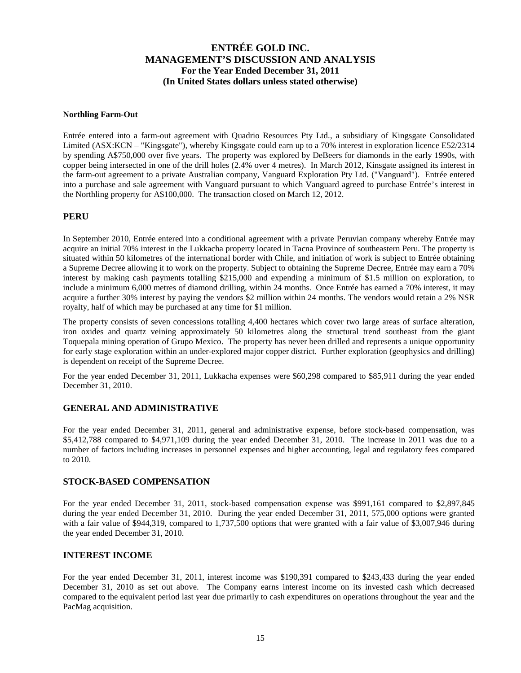### **Northling Farm-Out**

Entrée entered into a farm-out agreement with Quadrio Resources Pty Ltd., a subsidiary of Kingsgate Consolidated Limited (ASX:KCN – "Kingsgate"), whereby Kingsgate could earn up to a 70% interest in exploration licence E52/2314 by spending A\$750,000 over five years. The property was explored by DeBeers for diamonds in the early 1990s, with copper being intersected in one of the drill holes (2.4% over 4 metres). In March 2012, Kinsgate assigned its interest in the farm-out agreement to a private Australian company, Vanguard Exploration Pty Ltd. ("Vanguard"). Entrée entered into a purchase and sale agreement with Vanguard pursuant to which Vanguard agreed to purchase Entrée's interest in the Northling property for A\$100,000. The transaction closed on March 12, 2012.

### **PERU**

In September 2010, Entrée entered into a conditional agreement with a private Peruvian company whereby Entrée may acquire an initial 70% interest in the Lukkacha property located in Tacna Province of southeastern Peru. The property is situated within 50 kilometres of the international border with Chile, and initiation of work is subject to Entrée obtaining a Supreme Decree allowing it to work on the property. Subject to obtaining the Supreme Decree, Entrée may earn a 70% interest by making cash payments totalling \$215,000 and expending a minimum of \$1.5 million on exploration, to include a minimum 6,000 metres of diamond drilling, within 24 months. Once Entrée has earned a 70% interest, it may acquire a further 30% interest by paying the vendors \$2 million within 24 months. The vendors would retain a 2% NSR royalty, half of which may be purchased at any time for \$1 million.

The property consists of seven concessions totalling 4,400 hectares which cover two large areas of surface alteration, iron oxides and quartz veining approximately 50 kilometres along the structural trend southeast from the giant Toquepala mining operation of Grupo Mexico. The property has never been drilled and represents a unique opportunity for early stage exploration within an under-explored major copper district. Further exploration (geophysics and drilling) is dependent on receipt of the Supreme Decree.

For the year ended December 31, 2011, Lukkacha expenses were \$60,298 compared to \$85,911 during the year ended December 31, 2010.

### **GENERAL AND ADMINISTRATIVE**

For the year ended December 31, 2011, general and administrative expense, before stock-based compensation, was \$5,412,788 compared to \$4,971,109 during the year ended December 31, 2010. The increase in 2011 was due to a number of factors including increases in personnel expenses and higher accounting, legal and regulatory fees compared to 2010.

### **STOCK-BASED COMPENSATION**

For the year ended December 31, 2011, stock-based compensation expense was \$991,161 compared to \$2,897,845 during the year ended December 31, 2010. During the year ended December 31, 2011, 575,000 options were granted with a fair value of \$944,319, compared to 1,737,500 options that were granted with a fair value of \$3,007,946 during the year ended December 31, 2010.

### **INTEREST INCOME**

For the year ended December 31, 2011, interest income was \$190,391 compared to \$243,433 during the year ended December 31, 2010 as set out above. The Company earns interest income on its invested cash which decreased compared to the equivalent period last year due primarily to cash expenditures on operations throughout the year and the PacMag acquisition.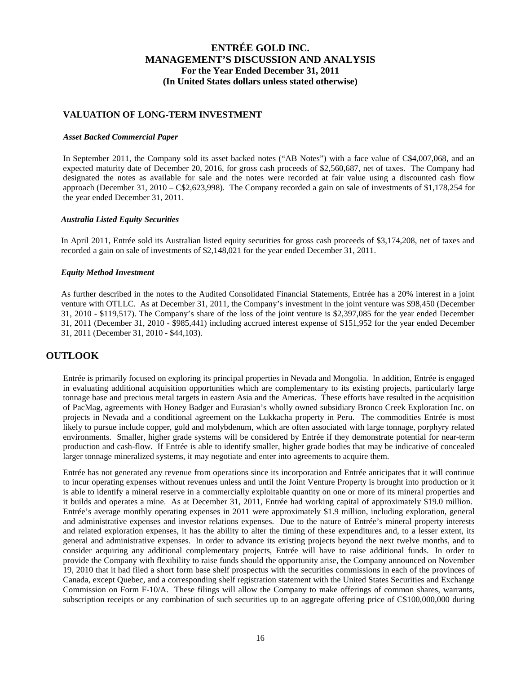### **VALUATION OF LONG-TERM INVESTMENT**

### *Asset Backed Commercial Paper*

In September 2011, the Company sold its asset backed notes ("AB Notes") with a face value of C\$4,007,068, and an expected maturity date of December 20, 2016, for gross cash proceeds of \$2,560,687, net of taxes. The Company had designated the notes as available for sale and the notes were recorded at fair value using a discounted cash flow approach (December 31, 2010 – C\$2,623,998). The Company recorded a gain on sale of investments of \$1,178,254 for the year ended December 31, 2011.

### *Australia Listed Equity Securities*

In April 2011, Entrée sold its Australian listed equity securities for gross cash proceeds of \$3,174,208, net of taxes and recorded a gain on sale of investments of \$2,148,021 for the year ended December 31, 2011.

### *Equity Method Investment*

As further described in the notes to the Audited Consolidated Financial Statements, Entrée has a 20% interest in a joint venture with OTLLC. As at December 31, 2011, the Company's investment in the joint venture was \$98,450 (December 31, 2010 - \$119,517). The Company's share of the loss of the joint venture is \$2,397,085 for the year ended December 31, 2011 (December 31, 2010 - \$985,441) including accrued interest expense of \$151,952 for the year ended December 31, 2011 (December 31, 2010 - \$44,103).

### **OUTLOOK**

Entrée is primarily focused on exploring its principal properties in Nevada and Mongolia. In addition, Entrée is engaged in evaluating additional acquisition opportunities which are complementary to its existing projects, particularly large tonnage base and precious metal targets in eastern Asia and the Americas. These efforts have resulted in the acquisition of PacMag, agreements with Honey Badger and Eurasian's wholly owned subsidiary Bronco Creek Exploration Inc. on projects in Nevada and a conditional agreement on the Lukkacha property in Peru. The commodities Entrée is most likely to pursue include copper, gold and molybdenum, which are often associated with large tonnage, porphyry related environments. Smaller, higher grade systems will be considered by Entrée if they demonstrate potential for near-term production and cash-flow. If Entrée is able to identify smaller, higher grade bodies that may be indicative of concealed larger tonnage mineralized systems, it may negotiate and enter into agreements to acquire them.

Entrée has not generated any revenue from operations since its incorporation and Entrée anticipates that it will continue to incur operating expenses without revenues unless and until the Joint Venture Property is brought into production or it is able to identify a mineral reserve in a commercially exploitable quantity on one or more of its mineral properties and it builds and operates a mine. As at December 31, 2011, Entrée had working capital of approximately \$19.0 million. Entrée's average monthly operating expenses in 2011 were approximately \$1.9 million, including exploration, general and administrative expenses and investor relations expenses. Due to the nature of Entrée's mineral property interests and related exploration expenses, it has the ability to alter the timing of these expenditures and, to a lesser extent, its general and administrative expenses. In order to advance its existing projects beyond the next twelve months, and to consider acquiring any additional complementary projects, Entrée will have to raise additional funds. In order to provide the Company with flexibility to raise funds should the opportunity arise, the Company announced on November 19, 2010 that it had filed a short form base shelf prospectus with the securities commissions in each of the provinces of Canada, except Quebec, and a corresponding shelf registration statement with the United States Securities and Exchange Commission on Form F-10/A. These filings will allow the Company to make offerings of common shares, warrants, subscription receipts or any combination of such securities up to an aggregate offering price of C\$100,000,000 during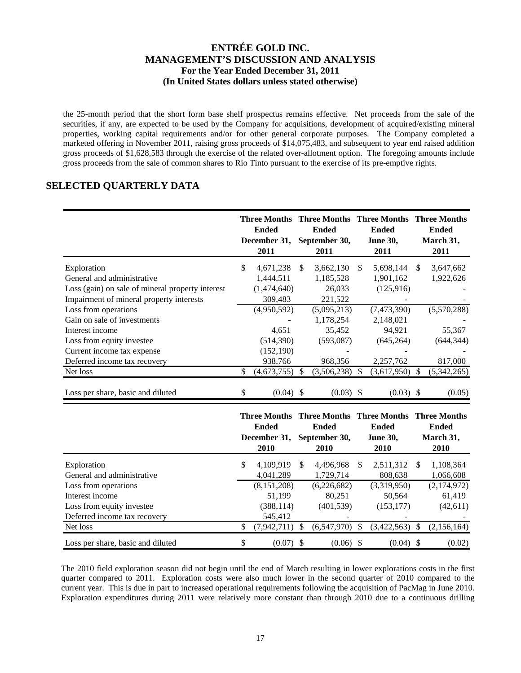the 25-month period that the short form base shelf prospectus remains effective. Net proceeds from the sale of the securities, if any, are expected to be used by the Company for acquisitions, development of acquired/existing mineral properties, working capital requirements and/or for other general corporate purposes. The Company completed a marketed offering in November 2011, raising gross proceeds of \$14,075,483, and subsequent to year end raised addition gross proceeds of \$1,628,583 through the exercise of the related over-allotment option. The foregoing amounts include gross proceeds from the sale of common shares to Rio Tinto pursuant to the exercise of its pre-emptive rights.

## **SELECTED QUARTERLY DATA**

|                                                  |     | <b>Ended</b><br>December 31,<br>2011 |              | <b>Ended</b><br>September 30,<br>2011 |               | Three Months Three Months Three Months Three Months<br><b>Ended</b><br><b>June 30,</b><br>2011 |               | <b>Ended</b><br>March 31,<br>2011 |
|--------------------------------------------------|-----|--------------------------------------|--------------|---------------------------------------|---------------|------------------------------------------------------------------------------------------------|---------------|-----------------------------------|
| Exploration                                      | \$. | 4,671,238                            | <sup>S</sup> | 3,662,130                             | <sup>\$</sup> | 5,698,144                                                                                      | <sup>\$</sup> | 3,647,662                         |
| General and administrative                       |     | 1,444,511                            |              | 1,185,528                             |               | 1,901,162                                                                                      |               | 1,922,626                         |
| Loss (gain) on sale of mineral property interest |     | (1,474,640)                          |              | 26,033                                |               | (125, 916)                                                                                     |               |                                   |
| Impairment of mineral property interests         |     | 309,483                              |              | 221,522                               |               |                                                                                                |               |                                   |
| Loss from operations                             |     | (4,950,592)                          |              | (5,095,213)                           |               | (7,473,390)                                                                                    |               | (5,570,288)                       |
| Gain on sale of investments                      |     |                                      |              | 1,178,254                             |               | 2,148,021                                                                                      |               |                                   |
| Interest income                                  |     | 4,651                                |              | 35,452                                |               | 94,921                                                                                         |               | 55,367                            |
| Loss from equity investee                        |     | (514,390)                            |              | (593,087)                             |               | (645, 264)                                                                                     |               | (644, 344)                        |
| Current income tax expense                       |     | (152, 190)                           |              |                                       |               |                                                                                                |               |                                   |
| Deferred income tax recovery                     |     | 938,766                              |              | 968,356                               |               | 2,257,762                                                                                      |               | 817,000                           |
| Net loss                                         | S   | (4,673,755)                          |              | (3,506,238)                           | -S            | (3,617,950)                                                                                    | S             | (5,342,265)                       |
| Loss per share, basic and diluted                | S   | $(0.04)$ \$                          |              | $(0.03)$ \$                           |               | $(0.03)$ \$                                                                                    |               | (0.05)                            |

|                                   |    | Three Months Three Months Three Months |   |               |    |                 |     | <b>Three Months</b> |
|-----------------------------------|----|----------------------------------------|---|---------------|----|-----------------|-----|---------------------|
|                                   |    | <b>Ended</b>                           |   | <b>Ended</b>  |    | <b>Ended</b>    |     | <b>Ended</b>        |
|                                   |    | December 31,                           |   | September 30, |    | <b>June 30,</b> |     | March 31,           |
|                                   |    | 2010                                   |   | <b>2010</b>   |    | 2010            |     | 2010                |
| Exploration                       | \$ | 4.109.919                              | S | 4.496.968     | S  | 2,511,312       | \$. | 1,108,364           |
| General and administrative        |    | 4,041,289                              |   | 1,729,714     |    | 808,638         |     | 1,066,608           |
| Loss from operations              |    | (8,151,208)                            |   | (6,226,682)   |    | (3,319,950)     |     | (2,174,972)         |
| Interest income                   |    | 51,199                                 |   | 80.251        |    | 50,564          |     | 61,419              |
| Loss from equity investee         |    | (388, 114)                             |   | (401, 539)    |    | (153, 177)      |     | (42,611)            |
| Deferred income tax recovery      |    | 545,412                                |   |               |    |                 |     |                     |
| Net loss                          | S  | (7,942,711)                            |   | (6,547,970)   | \$ | (3,422,563)     | S   | (2,156,164)         |
| Loss per share, basic and diluted | \$ | $(0.07)$ \$                            |   | $(0.06)$ \$   |    | $(0.04)$ \$     |     | (0.02)              |

The 2010 field exploration season did not begin until the end of March resulting in lower explorations costs in the first quarter compared to 2011. Exploration costs were also much lower in the second quarter of 2010 compared to the current year. This is due in part to increased operational requirements following the acquisition of PacMag in June 2010. Exploration expenditures during 2011 were relatively more constant than through 2010 due to a continuous drilling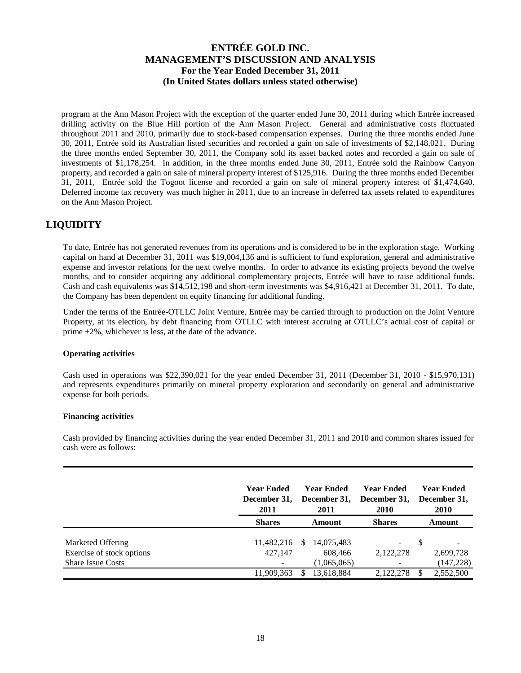program at the Ann Mason Project with the exception of the quarter ended June 30, 2011 during which Entrée increased drilling activity on the Blue Hill portion of the Ann Mason Project. General and administrative costs fluctuated throughout 2011 and 2010, primarily due to stock-based compensation expenses. During the three months ended June 30, 2011, Entrée sold its Australian listed securities and recorded a gain on sale of investments of \$2,148,021. During the three months ended September 30, 2011, the Company sold its asset backed notes and recorded a gain on sale of investments of \$1,178,254. In addition, in the three months ended June 30, 2011, Entrée sold the Rainbow Canyon property, and recorded a gain on sale of mineral property interest of \$125,916. During the three months ended December 31, 2011, Entrée sold the Togoot license and recorded a gain on sale of mineral property interest of \$1,474,640. Deferred income tax recovery was much higher in 2011, due to an increase in deferred tax assets related to expenditures on the Ann Mason Project.

# **LIQUIDITY**

To date, Entrée has not generated revenues from its operations and is considered to be in the exploration stage. Working capital on hand at December 31, 2011 was \$19,004,136 and is sufficient to fund exploration, general and administrative expense and investor relations for the next twelve months. In order to advance its existing projects beyond the twelve months, and to consider acquiring any additional complementary projects, Entrée will have to raise additional funds. Cash and cash equivalents was \$14,512,198 and short-term investments was \$4,916,421 at December 31, 2011. To date, the Company has been dependent on equity financing for additional funding.

Under the terms of the Entrée-OTLLC Joint Venture, Entrée may be carried through to production on the Joint Venture Property, at its election, by debt financing from OTLLC with interest accruing at OTLLC's actual cost of capital or prime +2%, whichever is less, at the date of the advance.

### **Operating activities**

Cash used in operations was \$22,390,021 for the year ended December 31, 2011 (December 31, 2010 - \$15,970,131) and represents expenditures primarily on mineral property exploration and secondarily on general and administrative expense for both periods.

### **Financing activities**

Cash provided by financing activities during the year ended December 31, 2011 and 2010 and common shares issued for cash were as follows:

|                                                       | <b>Year Ended</b><br>December 31,<br>2011 |               | <b>Year Ended</b><br>December 31,<br>2011 | <b>Year Ended</b><br>December 31,<br>2010 | Year Ended<br>December 31,<br><b>2010</b> |
|-------------------------------------------------------|-------------------------------------------|---------------|-------------------------------------------|-------------------------------------------|-------------------------------------------|
|                                                       | <b>Shares</b>                             |               | <b>Amount</b>                             | <b>Shares</b>                             | Amount                                    |
| Marketed Offering                                     | 11,482,216                                | <sup>\$</sup> | 14,075,483                                | -                                         |                                           |
| Exercise of stock options<br><b>Share Issue Costs</b> | 427.147                                   |               | 608,466<br>(1,065,065)                    | 2.122.278<br>$\overline{\phantom{a}}$     | 2,699,728<br>(147, 228)                   |
|                                                       | 11,909,363                                |               | 13,618,884                                | 2.122.278                                 | 2,552,500                                 |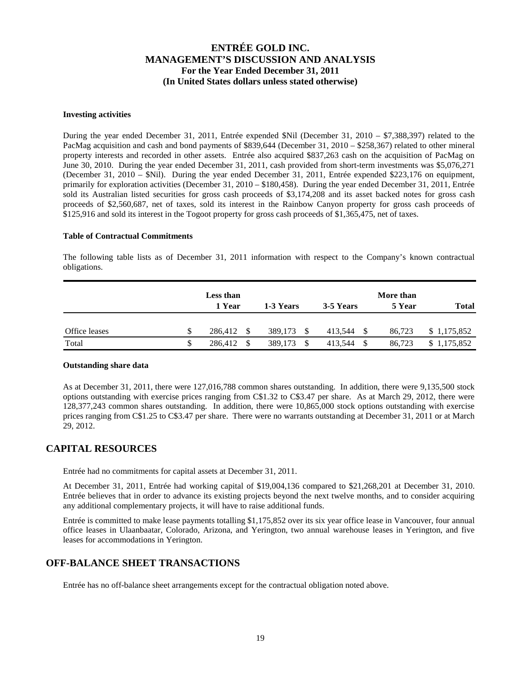#### **Investing activities**

During the year ended December 31, 2011, Entrée expended \$Nil (December 31, 2010 – \$7,388,397) related to the PacMag acquisition and cash and bond payments of \$839,644 (December 31, 2010 – \$258,367) related to other mineral property interests and recorded in other assets. Entrée also acquired \$837,263 cash on the acquisition of PacMag on June 30, 2010. During the year ended December 31, 2011, cash provided from short-term investments was \$5,076,271 (December 31, 2010 – \$Nil). During the year ended December 31, 2011, Entrée expended \$223,176 on equipment, primarily for exploration activities (December 31, 2010 – \$180,458). During the year ended December 31, 2011, Entrée sold its Australian listed securities for gross cash proceeds of \$3,174,208 and its asset backed notes for gross cash proceeds of \$2,560,687, net of taxes, sold its interest in the Rainbow Canyon property for gross cash proceeds of \$125,916 and sold its interest in the Togoot property for gross cash proceeds of \$1,365,475, net of taxes.

### **Table of Contractual Commitments**

The following table lists as of December 31, 2011 information with respect to the Company's known contractual obligations.

|               |   | Less than<br>1 Year | 1-3 Years    | 3-5 Years     | More than<br>5 Year | <b>Total</b> |
|---------------|---|---------------------|--------------|---------------|---------------------|--------------|
| Office leases |   | 286.412<br>-S       | 389,173<br>S | 413,544<br>-S | 86.723              | \$1,175,852  |
| Total         | S | 286,412             | 389,173      | 413,544       | 86.723              | 1,175,852    |

#### **Outstanding share data**

As at December 31, 2011, there were 127,016,788 common shares outstanding. In addition, there were 9,135,500 stock options outstanding with exercise prices ranging from C\$1.32 to C\$3.47 per share. As at March 29, 2012, there were 128,377,243 common shares outstanding. In addition, there were 10,865,000 stock options outstanding with exercise prices ranging from C\$1.25 to C\$3.47 per share. There were no warrants outstanding at December 31, 2011 or at March 29, 2012.

## **CAPITAL RESOURCES**

Entrée had no commitments for capital assets at December 31, 2011.

At December 31, 2011, Entrée had working capital of \$19,004,136 compared to \$21,268,201 at December 31, 2010. Entrée believes that in order to advance its existing projects beyond the next twelve months, and to consider acquiring any additional complementary projects, it will have to raise additional funds.

Entrée is committed to make lease payments totalling \$1,175,852 over its six year office lease in Vancouver, four annual office leases in Ulaanbaatar, Colorado, Arizona, and Yerington, two annual warehouse leases in Yerington, and five leases for accommodations in Yerington.

## **OFF-BALANCE SHEET TRANSACTIONS**

Entrée has no off-balance sheet arrangements except for the contractual obligation noted above.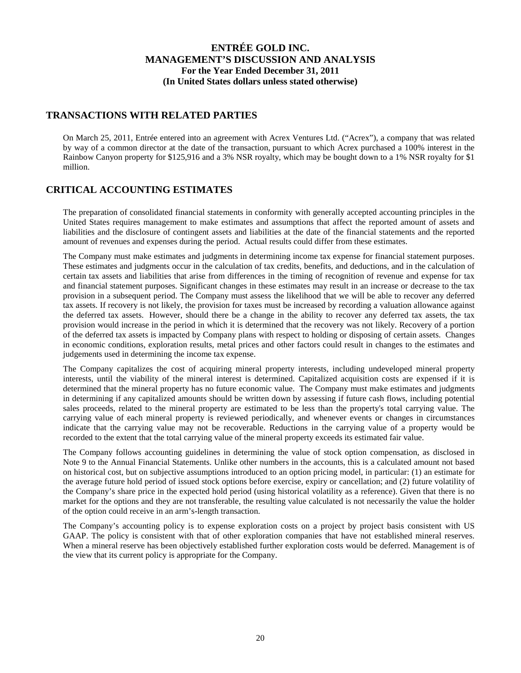## **TRANSACTIONS WITH RELATED PARTIES**

On March 25, 2011, Entrée entered into an agreement with Acrex Ventures Ltd. ("Acrex"), a company that was related by way of a common director at the date of the transaction, pursuant to which Acrex purchased a 100% interest in the Rainbow Canyon property for \$125,916 and a 3% NSR royalty, which may be bought down to a 1% NSR royalty for \$1 million.

# **CRITICAL ACCOUNTING ESTIMATES**

The preparation of consolidated financial statements in conformity with generally accepted accounting principles in the United States requires management to make estimates and assumptions that affect the reported amount of assets and liabilities and the disclosure of contingent assets and liabilities at the date of the financial statements and the reported amount of revenues and expenses during the period. Actual results could differ from these estimates.

The Company must make estimates and judgments in determining income tax expense for financial statement purposes. These estimates and judgments occur in the calculation of tax credits, benefits, and deductions, and in the calculation of certain tax assets and liabilities that arise from differences in the timing of recognition of revenue and expense for tax and financial statement purposes. Significant changes in these estimates may result in an increase or decrease to the tax provision in a subsequent period. The Company must assess the likelihood that we will be able to recover any deferred tax assets. If recovery is not likely, the provision for taxes must be increased by recording a valuation allowance against the deferred tax assets. However, should there be a change in the ability to recover any deferred tax assets, the tax provision would increase in the period in which it is determined that the recovery was not likely. Recovery of a portion of the deferred tax assets is impacted by Company plans with respect to holding or disposing of certain assets. Changes in economic conditions, exploration results, metal prices and other factors could result in changes to the estimates and judgements used in determining the income tax expense.

The Company capitalizes the cost of acquiring mineral property interests, including undeveloped mineral property interests, until the viability of the mineral interest is determined. Capitalized acquisition costs are expensed if it is determined that the mineral property has no future economic value. The Company must make estimates and judgments in determining if any capitalized amounts should be written down by assessing if future cash flows, including potential sales proceeds, related to the mineral property are estimated to be less than the property's total carrying value. The carrying value of each mineral property is reviewed periodically, and whenever events or changes in circumstances indicate that the carrying value may not be recoverable. Reductions in the carrying value of a property would be recorded to the extent that the total carrying value of the mineral property exceeds its estimated fair value.

The Company follows accounting guidelines in determining the value of stock option compensation, as disclosed in Note 9 to the Annual Financial Statements. Unlike other numbers in the accounts, this is a calculated amount not based on historical cost, but on subjective assumptions introduced to an option pricing model, in particular: (1) an estimate for the average future hold period of issued stock options before exercise, expiry or cancellation; and (2) future volatility of the Company's share price in the expected hold period (using historical volatility as a reference). Given that there is no market for the options and they are not transferable, the resulting value calculated is not necessarily the value the holder of the option could receive in an arm's-length transaction.

The Company's accounting policy is to expense exploration costs on a project by project basis consistent with US GAAP. The policy is consistent with that of other exploration companies that have not established mineral reserves. When a mineral reserve has been objectively established further exploration costs would be deferred. Management is of the view that its current policy is appropriate for the Company.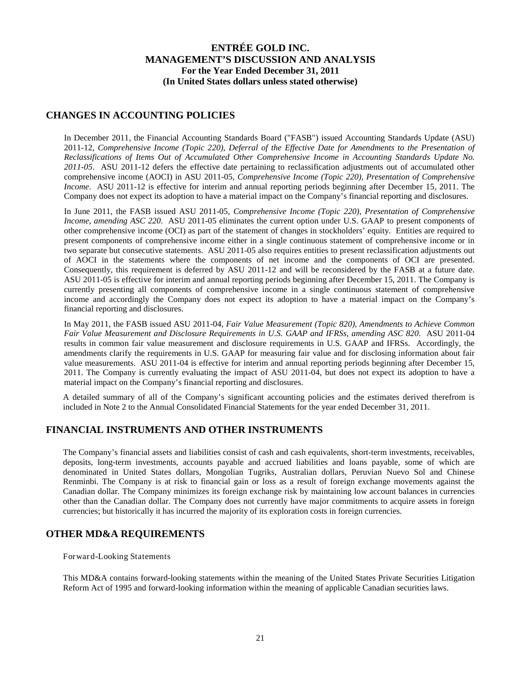## **CHANGES IN ACCOUNTING POLICIES**

In December 2011, the Financial Accounting Standards Board ("FASB") issued Accounting Standards Update (ASU) 2011-12, *Comprehensive Income (Topic 220), Deferral of the Effective Date for Amendments to the Presentation of Reclassifications of Items Out of Accumulated Other Comprehensive Income in Accounting Standards Update No. 2011-05*. ASU 2011-12 defers the effective date pertaining to reclassification adjustments out of accumulated other comprehensive income (AOCI) in ASU 2011-05, *Comprehensive Income (Topic 220), Presentation of Comprehensive Income*. ASU 2011-12 is effective for interim and annual reporting periods beginning after December 15, 2011. The Company does not expect its adoption to have a material impact on the Company's financial reporting and disclosures.

In June 2011, the FASB issued ASU 2011-05, *Comprehensive Income (Topic 220), Presentation of Comprehensive Income, amending ASC 220.* ASU 2011-05 eliminates the current option under U.S. GAAP to present components of other comprehensive income (OCI) as part of the statement of changes in stockholders' equity. Entities are required to present components of comprehensive income either in a single continuous statement of comprehensive income or in two separate but consecutive statements. ASU 2011-05 also requires entities to present reclassification adjustments out of AOCI in the statements where the components of net income and the components of OCI are presented. Consequently, this requirement is deferred by ASU 2011-12 and will be reconsidered by the FASB at a future date. ASU 2011-05 is effective for interim and annual reporting periods beginning after December 15, 2011. The Company is currently presenting all components of comprehensive income in a single continuous statement of comprehensive income and accordingly the Company does not expect its adoption to have a material impact on the Company's financial reporting and disclosures.

In May 2011, the FASB issued ASU 2011-04, *Fair Value Measurement (Topic 820), Amendments to Achieve Common Fair Value Measurement and Disclosure Requirements in U.S. GAAP and IFRSs, amending ASC 820*. ASU 2011-04 results in common fair value measurement and disclosure requirements in U.S. GAAP and IFRSs. Accordingly, the amendments clarify the requirements in U.S. GAAP for measuring fair value and for disclosing information about fair value measurements. ASU 2011-04 is effective for interim and annual reporting periods beginning after December 15, 2011. The Company is currently evaluating the impact of ASU 2011-04, but does not expect its adoption to have a material impact on the Company's financial reporting and disclosures.

A detailed summary of all of the Company's significant accounting policies and the estimates derived therefrom is included in Note 2 to the Annual Consolidated Financial Statements for the year ended December 31, 2011.

## **FINANCIAL INSTRUMENTS AND OTHER INSTRUMENTS**

The Company's financial assets and liabilities consist of cash and cash equivalents, short-term investments, receivables, deposits, long-term investments, accounts payable and accrued liabilities and loans payable, some of which are denominated in United States dollars, Mongolian Tugriks, Australian dollars, Peruvian Nuevo Sol and Chinese Renminbi. The Company is at risk to financial gain or loss as a result of foreign exchange movements against the Canadian dollar. The Company minimizes its foreign exchange risk by maintaining low account balances in currencies other than the Canadian dollar. The Company does not currently have major commitments to acquire assets in foreign currencies; but historically it has incurred the majority of its exploration costs in foreign currencies.

## **OTHER MD&A REQUIREMENTS**

Forward-Looking Statements

This MD&A contains forward-looking statements within the meaning of the United States Private Securities Litigation Reform Act of 1995 and forward-looking information within the meaning of applicable Canadian securities laws.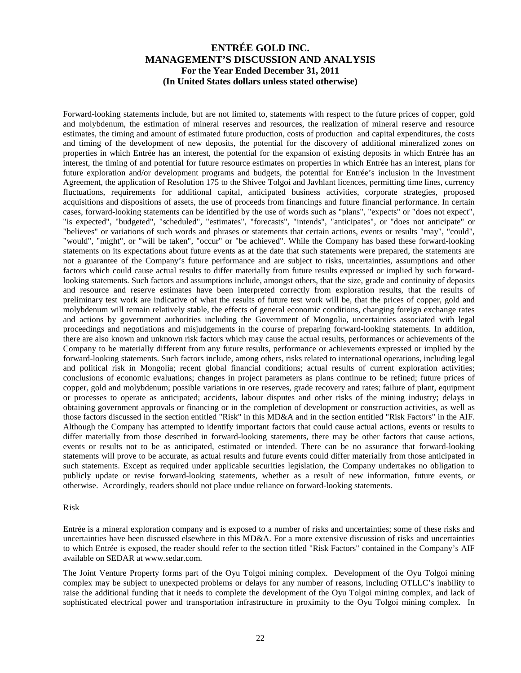Forward-looking statements include, but are not limited to, statements with respect to the future prices of copper, gold and molybdenum, the estimation of mineral reserves and resources, the realization of mineral reserve and resource estimates, the timing and amount of estimated future production, costs of production and capital expenditures, the costs and timing of the development of new deposits, the potential for the discovery of additional mineralized zones on properties in which Entrée has an interest, the potential for the expansion of existing deposits in which Entrée has an interest, the timing of and potential for future resource estimates on properties in which Entrée has an interest, plans for future exploration and/or development programs and budgets, the potential for Entrée's inclusion in the Investment Agreement, the application of Resolution 175 to the Shivee Tolgoi and Javhlant licences, permitting time lines, currency fluctuations, requirements for additional capital, anticipated business activities, corporate strategies, proposed acquisitions and dispositions of assets, the use of proceeds from financings and future financial performance. In certain cases, forward-looking statements can be identified by the use of words such as "plans", "expects" or "does not expect", "is expected", "budgeted", "scheduled", "estimates", "forecasts", "intends", "anticipates", or "does not anticipate" or "believes" or variations of such words and phrases or statements that certain actions, events or results "may", "could", "would", "might", or "will be taken", "occur" or "be achieved". While the Company has based these forward-looking statements on its expectations about future events as at the date that such statements were prepared, the statements are not a guarantee of the Company's future performance and are subject to risks, uncertainties, assumptions and other factors which could cause actual results to differ materially from future results expressed or implied by such forwardlooking statements. Such factors and assumptions include, amongst others, that the size, grade and continuity of deposits and resource and reserve estimates have been interpreted correctly from exploration results, that the results of preliminary test work are indicative of what the results of future test work will be, that the prices of copper, gold and molybdenum will remain relatively stable, the effects of general economic conditions, changing foreign exchange rates and actions by government authorities including the Government of Mongolia, uncertainties associated with legal proceedings and negotiations and misjudgements in the course of preparing forward-looking statements. In addition, there are also known and unknown risk factors which may cause the actual results, performances or achievements of the Company to be materially different from any future results, performance or achievements expressed or implied by the forward-looking statements. Such factors include, among others, risks related to international operations, including legal and political risk in Mongolia; recent global financial conditions; actual results of current exploration activities; conclusions of economic evaluations; changes in project parameters as plans continue to be refined; future prices of copper, gold and molybdenum; possible variations in ore reserves, grade recovery and rates; failure of plant, equipment or processes to operate as anticipated; accidents, labour disputes and other risks of the mining industry; delays in obtaining government approvals or financing or in the completion of development or construction activities, as well as those factors discussed in the section entitled "Risk" in this MD&A and in the section entitled "Risk Factors" in the AIF. Although the Company has attempted to identify important factors that could cause actual actions, events or results to differ materially from those described in forward-looking statements, there may be other factors that cause actions, events or results not to be as anticipated, estimated or intended. There can be no assurance that forward-looking statements will prove to be accurate, as actual results and future events could differ materially from those anticipated in such statements. Except as required under applicable securities legislation, the Company undertakes no obligation to publicly update or revise forward-looking statements, whether as a result of new information, future events, or otherwise. Accordingly, readers should not place undue reliance on forward-looking statements.

### Risk

Entrée is a mineral exploration company and is exposed to a number of risks and uncertainties; some of these risks and uncertainties have been discussed elsewhere in this MD&A. For a more extensive discussion of risks and uncertainties to which Entrée is exposed, the reader should refer to the section titled "Risk Factors" contained in the Company's AIF available on SEDAR at www.sedar.com.

The Joint Venture Property forms part of the Oyu Tolgoi mining complex. Development of the Oyu Tolgoi mining complex may be subject to unexpected problems or delays for any number of reasons, including OTLLC's inability to raise the additional funding that it needs to complete the development of the Oyu Tolgoi mining complex, and lack of sophisticated electrical power and transportation infrastructure in proximity to the Oyu Tolgoi mining complex. In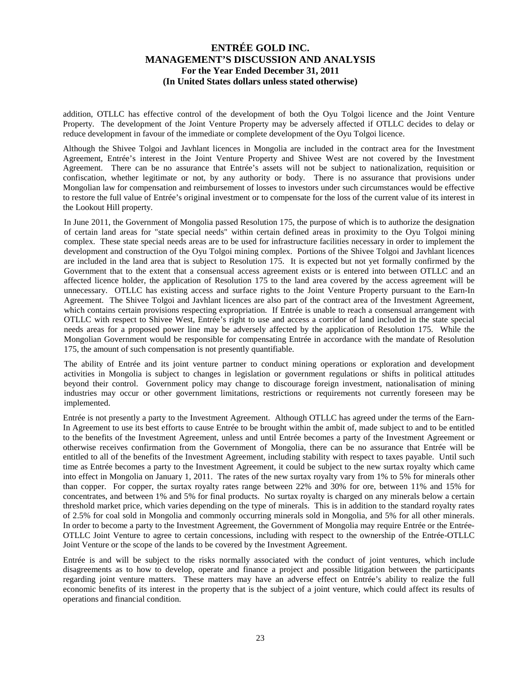addition, OTLLC has effective control of the development of both the Oyu Tolgoi licence and the Joint Venture Property. The development of the Joint Venture Property may be adversely affected if OTLLC decides to delay or reduce development in favour of the immediate or complete development of the Oyu Tolgoi licence.

Although the Shivee Tolgoi and Javhlant licences in Mongolia are included in the contract area for the Investment Agreement, Entrée's interest in the Joint Venture Property and Shivee West are not covered by the Investment Agreement. There can be no assurance that Entrée's assets will not be subject to nationalization, requisition or confiscation, whether legitimate or not, by any authority or body. There is no assurance that provisions under Mongolian law for compensation and reimbursement of losses to investors under such circumstances would be effective to restore the full value of Entrée's original investment or to compensate for the loss of the current value of its interest in the Lookout Hill property.

In June 2011, the Government of Mongolia passed Resolution 175, the purpose of which is to authorize the designation of certain land areas for "state special needs" within certain defined areas in proximity to the Oyu Tolgoi mining complex. These state special needs areas are to be used for infrastructure facilities necessary in order to implement the development and construction of the Oyu Tolgoi mining complex. Portions of the Shivee Tolgoi and Javhlant licences are included in the land area that is subject to Resolution 175. It is expected but not yet formally confirmed by the Government that to the extent that a consensual access agreement exists or is entered into between OTLLC and an affected licence holder, the application of Resolution 175 to the land area covered by the access agreement will be unnecessary. OTLLC has existing access and surface rights to the Joint Venture Property pursuant to the Earn-In Agreement. The Shivee Tolgoi and Javhlant licences are also part of the contract area of the Investment Agreement, which contains certain provisions respecting expropriation. If Entrée is unable to reach a consensual arrangement with OTLLC with respect to Shivee West, Entrée's right to use and access a corridor of land included in the state special needs areas for a proposed power line may be adversely affected by the application of Resolution 175. While the Mongolian Government would be responsible for compensating Entrée in accordance with the mandate of Resolution 175, the amount of such compensation is not presently quantifiable.

The ability of Entrée and its joint venture partner to conduct mining operations or exploration and development activities in Mongolia is subject to changes in legislation or government regulations or shifts in political attitudes beyond their control. Government policy may change to discourage foreign investment, nationalisation of mining industries may occur or other government limitations, restrictions or requirements not currently foreseen may be implemented.

Entrée is not presently a party to the Investment Agreement. Although OTLLC has agreed under the terms of the Earn-In Agreement to use its best efforts to cause Entrée to be brought within the ambit of, made subject to and to be entitled to the benefits of the Investment Agreement, unless and until Entrée becomes a party of the Investment Agreement or otherwise receives confirmation from the Government of Mongolia, there can be no assurance that Entrée will be entitled to all of the benefits of the Investment Agreement, including stability with respect to taxes payable. Until such time as Entrée becomes a party to the Investment Agreement, it could be subject to the new surtax royalty which came into effect in Mongolia on January 1, 2011. The rates of the new surtax royalty vary from 1% to 5% for minerals other than copper. For copper, the surtax royalty rates range between 22% and 30% for ore, between 11% and 15% for concentrates, and between 1% and 5% for final products. No surtax royalty is charged on any minerals below a certain threshold market price, which varies depending on the type of minerals. This is in addition to the standard royalty rates of 2.5% for coal sold in Mongolia and commonly occurring minerals sold in Mongolia, and 5% for all other minerals. In order to become a party to the Investment Agreement, the Government of Mongolia may require Entrée or the Entrée-OTLLC Joint Venture to agree to certain concessions, including with respect to the ownership of the Entrée-OTLLC Joint Venture or the scope of the lands to be covered by the Investment Agreement.

Entrée is and will be subject to the risks normally associated with the conduct of joint ventures, which include disagreements as to how to develop, operate and finance a project and possible litigation between the participants regarding joint venture matters. These matters may have an adverse effect on Entrée's ability to realize the full economic benefits of its interest in the property that is the subject of a joint venture, which could affect its results of operations and financial condition.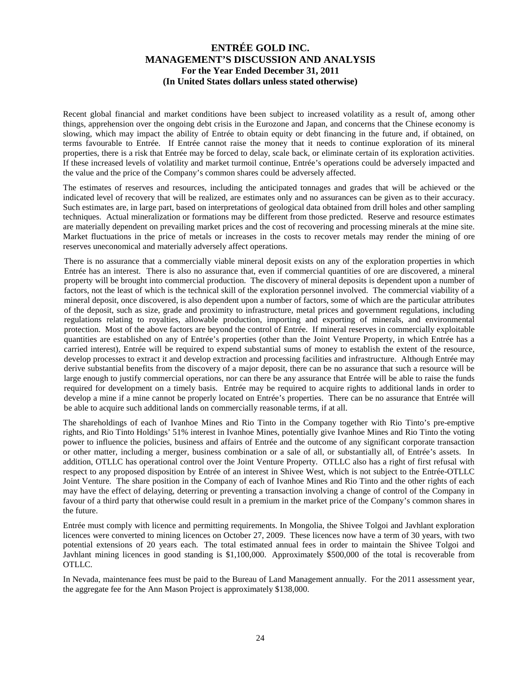Recent global financial and market conditions have been subject to increased volatility as a result of, among other things, apprehension over the ongoing debt crisis in the Eurozone and Japan, and concerns that the Chinese economy is slowing, which may impact the ability of Entrée to obtain equity or debt financing in the future and, if obtained, on terms favourable to Entrée. If Entrée cannot raise the money that it needs to continue exploration of its mineral properties, there is a risk that Entrée may be forced to delay, scale back, or eliminate certain of its exploration activities. If these increased levels of volatility and market turmoil continue, Entrée's operations could be adversely impacted and the value and the price of the Company's common shares could be adversely affected.

The estimates of reserves and resources, including the anticipated tonnages and grades that will be achieved or the indicated level of recovery that will be realized, are estimates only and no assurances can be given as to their accuracy. Such estimates are, in large part, based on interpretations of geological data obtained from drill holes and other sampling techniques. Actual mineralization or formations may be different from those predicted. Reserve and resource estimates are materially dependent on prevailing market prices and the cost of recovering and processing minerals at the mine site. Market fluctuations in the price of metals or increases in the costs to recover metals may render the mining of ore reserves uneconomical and materially adversely affect operations.

There is no assurance that a commercially viable mineral deposit exists on any of the exploration properties in which Entrée has an interest. There is also no assurance that, even if commercial quantities of ore are discovered, a mineral property will be brought into commercial production. The discovery of mineral deposits is dependent upon a number of factors, not the least of which is the technical skill of the exploration personnel involved. The commercial viability of a mineral deposit, once discovered, is also dependent upon a number of factors, some of which are the particular attributes of the deposit, such as size, grade and proximity to infrastructure, metal prices and government regulations, including regulations relating to royalties, allowable production, importing and exporting of minerals, and environmental protection. Most of the above factors are beyond the control of Entrée. If mineral reserves in commercially exploitable quantities are established on any of Entrée's properties (other than the Joint Venture Property, in which Entrée has a carried interest), Entrée will be required to expend substantial sums of money to establish the extent of the resource, develop processes to extract it and develop extraction and processing facilities and infrastructure. Although Entrée may derive substantial benefits from the discovery of a major deposit, there can be no assurance that such a resource will be large enough to justify commercial operations, nor can there be any assurance that Entrée will be able to raise the funds required for development on a timely basis. Entrée may be required to acquire rights to additional lands in order to develop a mine if a mine cannot be properly located on Entrée's properties. There can be no assurance that Entrée will be able to acquire such additional lands on commercially reasonable terms, if at all.

The shareholdings of each of Ivanhoe Mines and Rio Tinto in the Company together with Rio Tinto's pre-emptive rights, and Rio Tinto Holdings' 51% interest in Ivanhoe Mines, potentially give Ivanhoe Mines and Rio Tinto the voting power to influence the policies, business and affairs of Entrée and the outcome of any significant corporate transaction or other matter, including a merger, business combination or a sale of all, or substantially all, of Entrée's assets. In addition, OTLLC has operational control over the Joint Venture Property. OTLLC also has a right of first refusal with respect to any proposed disposition by Entrée of an interest in Shivee West, which is not subject to the Entrée-OTLLC Joint Venture. The share position in the Company of each of Ivanhoe Mines and Rio Tinto and the other rights of each may have the effect of delaying, deterring or preventing a transaction involving a change of control of the Company in favour of a third party that otherwise could result in a premium in the market price of the Company's common shares in the future.

Entrée must comply with licence and permitting requirements. In Mongolia, the Shivee Tolgoi and Javhlant exploration licences were converted to mining licences on October 27, 2009. These licences now have a term of 30 years, with two potential extensions of 20 years each. The total estimated annual fees in order to maintain the Shivee Tolgoi and Javhlant mining licences in good standing is \$1,100,000. Approximately \$500,000 of the total is recoverable from OTLLC.

In Nevada, maintenance fees must be paid to the Bureau of Land Management annually. For the 2011 assessment year, the aggregate fee for the Ann Mason Project is approximately \$138,000.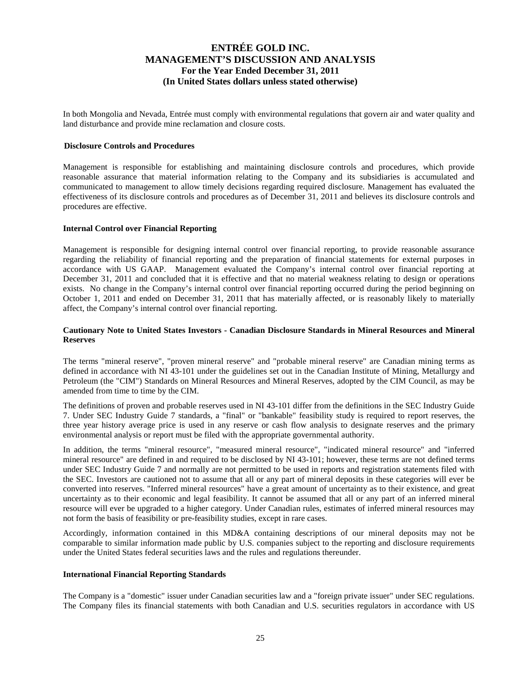In both Mongolia and Nevada, Entrée must comply with environmental regulations that govern air and water quality and land disturbance and provide mine reclamation and closure costs.

### **Disclosure Controls and Procedures**

Management is responsible for establishing and maintaining disclosure controls and procedures, which provide reasonable assurance that material information relating to the Company and its subsidiaries is accumulated and communicated to management to allow timely decisions regarding required disclosure. Management has evaluated the effectiveness of its disclosure controls and procedures as of December 31, 2011 and believes its disclosure controls and procedures are effective.

### **Internal Control over Financial Reporting**

Management is responsible for designing internal control over financial reporting, to provide reasonable assurance regarding the reliability of financial reporting and the preparation of financial statements for external purposes in accordance with US GAAP. Management evaluated the Company's internal control over financial reporting at December 31, 2011 and concluded that it is effective and that no material weakness relating to design or operations exists. No change in the Company's internal control over financial reporting occurred during the period beginning on October 1, 2011 and ended on December 31, 2011 that has materially affected, or is reasonably likely to materially affect, the Company's internal control over financial reporting.

### **Cautionary Note to United States Investors - Canadian Disclosure Standards in Mineral Resources and Mineral Reserves**

The terms "mineral reserve", "proven mineral reserve" and "probable mineral reserve" are Canadian mining terms as defined in accordance with NI 43-101 under the guidelines set out in the Canadian Institute of Mining, Metallurgy and Petroleum (the "CIM") Standards on Mineral Resources and Mineral Reserves, adopted by the CIM Council, as may be amended from time to time by the CIM.

The definitions of proven and probable reserves used in NI 43-101 differ from the definitions in the SEC Industry Guide 7. Under SEC Industry Guide 7 standards, a "final" or "bankable" feasibility study is required to report reserves, the three year history average price is used in any reserve or cash flow analysis to designate reserves and the primary environmental analysis or report must be filed with the appropriate governmental authority.

In addition, the terms "mineral resource", "measured mineral resource", "indicated mineral resource" and "inferred mineral resource" are defined in and required to be disclosed by NI 43-101; however, these terms are not defined terms under SEC Industry Guide 7 and normally are not permitted to be used in reports and registration statements filed with the SEC. Investors are cautioned not to assume that all or any part of mineral deposits in these categories will ever be converted into reserves. "Inferred mineral resources" have a great amount of uncertainty as to their existence, and great uncertainty as to their economic and legal feasibility. It cannot be assumed that all or any part of an inferred mineral resource will ever be upgraded to a higher category. Under Canadian rules, estimates of inferred mineral resources may not form the basis of feasibility or pre-feasibility studies, except in rare cases.

Accordingly, information contained in this MD&A containing descriptions of our mineral deposits may not be comparable to similar information made public by U.S. companies subject to the reporting and disclosure requirements under the United States federal securities laws and the rules and regulations thereunder.

### **International Financial Reporting Standards**

The Company is a "domestic" issuer under Canadian securities law and a "foreign private issuer" under SEC regulations. The Company files its financial statements with both Canadian and U.S. securities regulators in accordance with US